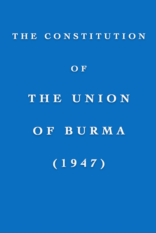THE CONSTITUTION OF THE UNION OF BURMA  $(1947)$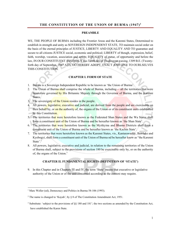# **THE CONSTITUTION OF THE UNION OF BURMA (1947)1**

#### **PREAMBLE**

WE, THE PEOPLE OF BURMA including the Frontier Areas and the Karenni States, Determined to establish in strength and unity as SOVEREIGN INDEPENDENT STATE, TO maintain social order on the basis of the eternal principles of JUSTICE, LIBERTY AND EQUALITY AND TO guarantee and secure to all citizens JUSTICE social, economic and political; LIBERTY of though, expression, belief, faith, worship, vocation, association and action; EQUALITY of statue, of opportunity and before the law, IN OUR CONSTITUENT ASSEMBLY this Tenth day of Thadingyut waxing, 1309 B.E. (Twentyforth day of September, 1947 A.D), DO HEREBY ADOPT, ENACT AND GIVE TO OURLSELVES THIS CONSTITUTION.

### **CHAPTER I. FORM OF STATE**

- 1. Burma is a Sovereign Independent Republic to be known as 'the Union of Burma'.
- 2. The Union of Burma shall comprise the whole of Burma, including— all the territories that were heretofore governed by His Britannic Majesty through the Governor of Burma, and the Karenni States.
- 3. The sovereignty of the Union resides in the people.
- 4. All powers, legislative, executive and judicial, are derived from the people and are exercisable on their behalf by, or on the authority of, the organs of the Union or of its constituent units established by this Constitution.
- 5. The territories that were heretofore known as the Federated Shan States and the Wa States shall form a constituent unit of the Union of Burma and be hereafter known as 'the Shan State'.
- 6. The territories that were heretofore known as the Myitkyina and Bhamo Districts shall form a constituent unit of the Union of Burma and be hereafter known as 'the Kachin State'.
- 7. The territories that were heretofore known as the Karenni States, vis., Kantarawaddy, Bawlake and Kyebogyi, shall form a constituent unit of the Union of Burma nd be hereafter know as "the Karenni State'.<sup>2</sup>
- 8. All powers, legislative, executive and judicial, in relation to the remaining territories of the Union of Burma shall, subject to the provisions of section 180 be exercisable only by, or on the authority of, the organs of the Union.<sup>3</sup>

# **CHAPTER II. FUNDAMENTAL RIGHTS (DEFINITION OF 'STATE')**

9. In this Chapter and in Chapters III and IV, the term 'State' means that executive or legislative authority of the Union or of the unit concerned according as the context may require.

 $\overline{a}$ 

<sup>&</sup>lt;sup>1</sup> Marc Weller (ed), Democracy and Politics in Burma 58-106 (1993).

<sup>&</sup>lt;sup>2</sup> The name is changed to 'Kayah', by  $\S$  8 of The Constitution Amendment Act, 1951.

<sup>&</sup>lt;sup>3</sup> Substitute: 'subject to the provisions of §§ 180 and 181'; the two sections as amended by the Constitution Act, have established the Karen State.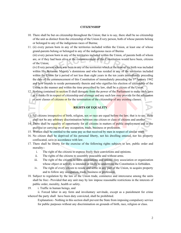#### **CITIZENSHIP**

- 10. There shall be but on citizenship throughout the Union; that is to say, there shall be no citizenship of the unit as distinct from the citizenship of the Union.Every person, both of whose parents belong or belonged to any of the indigenous races of Burma;
- 11. (ii) every person born in any of the territories included within the Union, at least one of whose grand-parents belong or belonged to any of the indigenous races of Burma

(iii) every person born in any of the territories included within the Union, of parents both of whom are, or if they had been alive at the commencement of this Constitution would have been, citizens of the Union;

(iv) Every person where was born in any of the territories which at the time of his birth was included within His Britannic Majesty's dominions and who has resided in any of the territories included within the Union for a period of not less than eight years in the ten years immediately preceding the date of the commencement of this Constitution of immediately preceding the 1<sup>st</sup> January 1942 and how intends to reside permanently therein and who signifies his election of citizenship of the Union in the manner and within the time prescribed by law, shall be a citizen of the Union.

12. Nothing contained in section II shall derogate from the power of the Parliament to make such laws as it thinks fit in respect of citizenship and alienage and any such law may provide for the admission of new classes of citizens or for the termination of the citizenship of any existing classes.

# **RIGHTS OF EQUALITY**

- 13. All citizens irrespective of birth, religion, sex or race are equal before the law; that is to say, there shall not be any arbitrary discrimination between one citizen or class of citizens and another.
- 14. There shall be equality of opportunity for all citizens in matters of public employment and in the exercise or carrying on of any occupation, trade, business or profession.
- 15. Women shall be entitled to the same pay as that received by men in respect of similar work.
- 16. No citizen shall be deprived of his personal liberty, not his dwelling entered, nor his property confiscated, save in accordance with law.
- 17. There shall be liberty for the exercise of the following rights subjects to law, public order and morality:
	- i. The right of the citizens to express freely their convictions and opinions.
	- ii. The rights of the citizens to assembly peaceable and without arms.
	- iii. The right of the citizens to form associations and unions. Any association or organization whose object or activity is intended or likely to undermine the Constitution is forbidden.
	- iv. The right of every citizen to reside and settle in any part of the Union, to acquire property and to follow any occupation, trade, business or profession.
- 18. Subject to regulation by the law of the Union trade, commerce and intercourse among the units shall be free:- Provided that any unit may by law impose reasonable restrictions in the interests of public order, morality, health or safety.
- 19. i. Traffic in human beings, and

 ii. Forced labor in any form and involuntary servitude, except as a punishment for crime whereof the party shall have been duty convicted, shall be prohibited.

Explanation:- Nothing in this section shall prevent the State from imposing compulsory service for public purposes without any discrimination on grounds of birth, race, religion or class.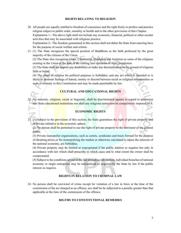#### **RIGHTS RELATING TO RELIGION**

20. All people are equally entitled to freedom of conscience and the right freely to profess and practice religion subject to public order, morality or health and to the other provisions of this Chapter. Explanation 1:- The above right shall not include any economic, financial, political or other secular activities that may be associated with religious practice.

Explanation 2:- The freedom guaranteed in this section shall not debar the State from enacting laws for the purpose of social welfare and reform.

21. (1) The State recognizes the special position of Buddhism as the faith professed by the great majority of the citizens of the Union.

(2) The State also recognizes Islam, Christianity, Hinduism and Animism as some of the religious existing in the Union at the date of the coming into operation of this Constitution.

(3) The State shall not impose any disabilities or make any discrimination on the ground of religious faith or belief.

(4) The abuse of religion for political purposes is forbidden; and any act which is intended or is likely to promote feelings of hatred, enmity or discord between racial or religious communities or sects is contrary to this Constitution and may be made punishable by law.

# **CULTURAL AND EDUCATIONAL RIGHTS**

22. No minority, religious, racial or linguistic, shall be discriminated against in regard to admission into State educational institutions nor shall any religious instruction be compulsorily imposed on it.

# **ECONOMIC RIGHTS**

23. (1) Subject to the **provisions** of this section, the State guarantees the right of private property and of private initiative in the economic sphere.

(2) No person shall be permitted to use the right of private property to the detriment of the general public.

(3) Private monopolist organizations, such as cartels, syndicates and trusts formed for the purpose of dictating prices or for monopolizing the market or otherwise calculated to injure the interests of the national economy, are forbidden.

(4) Private property may be limited or expropriated if the public interest so requires but only in accordance with law which shall prescribe in which cases and to what extent the owner shall be compensated.

(5) Subject to the conditions set out in the last preceding sub-section, individual branches of national economy or single enterprises may be nationalized or acquired by the State by law if the public interest so requires.

#### **RIGHTS IN RELATION TO CRIMINAL LAW**

24. No person shall be convicted of crime except for violation of a law in force at the time of the commission of the act charged as an offence, nor shall he be subjected to a penalty greater than that applicable at the time of the commission of the offence.

#### **RIGTHS TO CONSTITUTIONAL REMEDIES**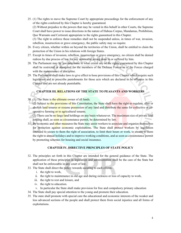25. (1) The rights to move the Supreme Court by appropriate proceedings for the enforcement of any of the rights conferred by this Chapter is hereby guaranteed.

(2) Without prejudice to the powers that may be vested in this behalf in other Courts, the Supreme Court shall have power to issue directions in the nature of Habeas Corpus, Mandamus, Prohibition, Quo Warranto and Certiorati appropriate to the rights guaranteed in this Chapter.

(3) The right to enforce these remedies shall not be suspended unless, in times of war, invasion, rebellion, insurrection or grave emergency, the public safety may so require.

- 26. Every citizen, whether within on beyond the territories of the Union, shall be entitled to claim the protection of the Union in his relations with foreign States.
- 27. Except in times of invasion, rebellion, insurrection or grave emergency, no citizen shall be denied redress by due process of law for any actionable wrong done to or suffered by him.
- 28. The Parliament may by law determine to what extent any of the rights guaranteed by this Chapter shall be restricted or abrogated for the members of the Defense Forces or of the Forces charged with the maintenance of discipline.
- 29. The Parliament shall make laws to give effect to hose provisions of this Chapter which require such legislation and to prescribe punishments for those acts which are declared to be offences in this Chapter and are not already punishable.

# **CHAPTER III. RELATIONS OF THE STATE TO PEASANTS AND WORKERS**

- 30. (1) The State is the ultimate owner of all lands.
	- (2) Subject to the provisions of this Constitution, the State shall have the right to regulate, alter or abolish land tenures or resume possession of any land and distribute the same for collective or cooperative farming or to agricultural tenants.

(3) There can be no large land holdings on any basis whatsoever. The maximum size of private land holding shall, as soon as circumstance permit, be determined by law.

31. By economic and other measures the State may assist workers to associate and organize themselves for protection against economic exploitations. The State shall protect workers by legislation intended to secure to them the right of association, to limit their hours or work, to ensure to them the right to annual holidays and to improve working conditions, and as soon as circumstance permit by promoting schemes for housing and social insurance.

# **CHAPTER IV. DIRECTIVE PRINCIPLES OF STATE POLICY**

- 32. The principles set forth in this Chapter are intended for the general guidance of the State. The application of these principles in legislation and administration shall be the care of the State but shall not be enforceable in any court of law.
- 33. The State shall direct the policy towards securing to each citizen
	- i. the right to work,
	- ii. the right to maintenance in old age and during sickness or loss of capacity to work,
	- iii. the right to rest and leisure, and
	- iv. the right to education.
	- v. In particular the State shall make provision for free and compulsory primary education
- 34. The State shall pay special attention to the young and promote their education.
- 35. The state shall promote with special care the educational and economic interests of the weaker and less advanced sections of the people and shall protect them from social injustice and all forms of exploitations.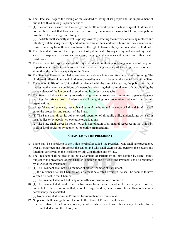- 36. The State shall regard the raising of the standard of living of its people and the improvement of public health as among its primary duties.
- 37. (1) The state shall ensure that the strength and health of workers and the tender age of children shall not be abused and that they shall not be forced by economic necessity to take up occupations unsuited to their sex, age and strength.

(2) The State shall specially direct its policy towards protecting the interests of nursing mothers and infants by establishing maternity and infant welfare centers, children's home and day nurseries and towards securing to mothers in employment the right to leave with pay before and after child birth.

- 38. The State shall promote the improvement of public health by organizing and controlling health services, hospitals, dispensaries, sanatoria, nursing and convalescent homes and other health institutions.
- 39. The state shall take special care of the physical education of the people in general and of the youth in particular in order to increase the health and working capacity of the people and in order to strengthen the defensive capacity of the States.
- 40. The State shall ensure disabled ex-Servicemen a decent living and free occupational training. The children of fallen soldiers and children orphaned by war shall be under the special care of the State.
- 41. The economic life of the Union shall be planned with the aim of increasing the public wealth, of improving the material conditions of the people and raising their cultural level, of consolidating the independence of the Union and strengthening its defensive capacity.
- 42. The State shall direct its policy towards giving material assistance to economic organizations not working for private profit. Preference shall be giving to co-operative and similar economic organizations.
- 43. All useful arts and sciences, research and cultural institutes and the study of Pali and Sanskrit shall enjoy the protection and support of the State.
- 44. (1) The State shall direct its policy towards operation of all public utility undertakings by itself or local bodies or by **people'** co-operative organizations.

(2) The State shall direct its policy towards exploitation of all natural resources in the Union by itself or local bodies or by people' co-operative organizations.

# **CHAPTER V. THE PRESIDENT**

- 45. There shall be a President of the Union hereinafter called 'the President' who shall take precedence over all other persons throughout the Union and who shall exercise and perform the powers and functions conferred on the President by this Constitution and by law.
- 46. The President shall be elected by both Chambers of Parliament in joint session by secret ballot. Subject to the provisions of this Chapter, election to the office of the President shall be regulated by an Act of the Parliament.
- 47. (1) The President shall not be a member of either Chamber of Parliament.

(2) If a member of either Chamber of Parliament be elected President, he shall be deemed to have vacated his seat in that Chamber.

- (3) The President shall not hold any other office or position of emolument.
- 48. (1) The President shall hold office for five years from the sate on which he enters upon his office, unless before the expiration of that period he resigns or dies, or is removed from office, or becomes permanently incapacitated.
	- (2) No persona shall serve as President for more than two terms in all.
- 49. No person shall be eligible for election to the office of President unless he
	- i. is a citizen of the Union who was, or both of whose parents were, born in any of the territories included within the Union, and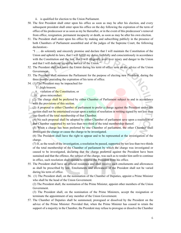- ii. is qualified for election to the Union Parliament.
- 50. The first President shall enter upon his office as soon as may be after his election, and every subsequent president shall enter upon his office on the day following the expiration of the term of office of his predecessor or as soon as my be thereafter, or in the event of this predecessor's removal from office, resignation, permanent incapacity or death, as soon as may be after his own election.
- 51. The President shall enter upon his office by making and subscribing publicly in the presence of both Chambers of Parliament assembled and of the judges of the Supreme Court, the following declaration:-

"I …. do solemnly and sincerely promise and declare that I will maintain the Constitution of the Union and uphold its laws, that I will fulfill my duties faithfully and conscientiously in accordance with the Constitution and the law, that I will diligently avert ever injury and danger to the Union and that I will dedicate myself to service of the Union."

- 52. The President shall not leave the Union during his term of office save on the advice of the Union Government.
- 53. The President shall summon the Parliament for the purpose of electing new President, during the three months preceding the expiration of his term of office.
- 54. (1) The President may be impeached for
	- i. high treason;
	- ii. violation of the Constitution; or
	- iii. gross misconduct.

(2) The charge shall be preferred by either Chamber of Parliament subject to and in accordance with the provisions of this section.

- (3) A proposal to either Chamber of parliament to prefer a charge against the President under this section shall not be entertained except upon a notice of resolution in writing signed by not less than one-fourth of the **total membership** of that Chamber.
- (4) No such proposal shall be adopted by either Chamber of parliament save upon a resolution of that Chamber supported by not less than two-third of the total membership thereof.

(5) When a charge has been preferred by one Chamber of parliament, the other Chamber shall investigate the charge or cause the charge to be investigated.

(6) The President shall have the right to appear and to be represented at the investigation of the charge.

(7) If, as the result of the investigation, a resolution be passed, supported by not less than two-thirds of the total membership of the Chamber of parliament by which the charge was investigated or caused to be investigated, declaring that the charge preferred against the President have been sustained and that the offence, the subject of the charge, was such as to render him unfit to continue in office, such resolution shall operate to remove the President from his office.

- 55. The President shall have an official residence and shall receive such emoluments and allowances as shall be prescribed by law, Emoluments and allowances of the President shall not be varied during his term of office.
- 56. (1) The President shall, on the nomination of the Chamber of Deputies, appoint a Prime Minister who shall be the head of the Union Government.

(2) The President shall, the nomination of the Prime Minister, appoint other members of the Union Government.

(3) The President shall, on the nomination of the Prime Ministers, accept the resignation or terminate the appointment of any member of the Union Government.

57. The Chamber of Deputies shall be summoned, prorogued or dissolved by the President on the advice of the Prime Minister: Provided that, when the Prime Minister has ceased to retain the support of a majority in the Chamber, the President may refuse to prorogue or dissolve the Chamber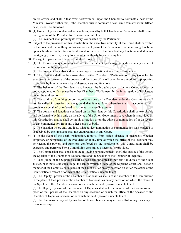on his advice and shall in that event forthwith call upon the Chamber to nominate a new Prime Minister. Provide further that, if the Chamber fails to nominate a new Prime Minister within fifteen days, it shall be dissolved.

58. (1) Every bill, passed or deemed to have been passed by both Chambers of Parliament, shall require the signature of the President for its enactment into law.

(2) The President shall promulgate every law enacted by the Parliament.

- 59. Subject to the provisions of this Constitution, the executive authority of the Union shall be vested in the President; but nothing in this section shall prevent the Parliament from conferring functions upon subordinate authorities, or be deemed to transfer to the President any functions vested in any court, judge, or officer, or any local or other authority by an existing law.
- 60. The right of pardon shall be vested in the President.
- 61. (1) The President may communicate with the Parliament by message or address on any matter of national or public importance.

(2) The President may also address a message to the nation at any time on any matter.

62. (1) The President shall not be answerable to either Chamber of Parliament or to any Court for the exercise or performance of the powers and functions of his office or for any act done or purporting to be done by him in the exercise of these powers and functions.

(2) The behavior of the President may, however, be brought under or by any Court, tribunal or body, appointed or designated by either Chamber of Parliament for the investigation of its charges under the said section.

(3) The validity of anything purporting to have done by the President under this Constitution shall not be called in question on the ground that it was done otherwise than in accordance with provisions contained or referred to in the next succeeding section.

63. (1) The powers and functions conferred on the President by this Constitution shall be exercisable and performable by him only on the advice of the Union Government, save where it is provided by this Constitution that he shall act in his discretion or on the advice or nomination of or on receipt of any communication from any other person or body.

(2) The question where any, and if so, what advice, nomination or communication was tendered to or received by the President shall not enquired into in any Court.

64. (1) In the event of the death, resignation, removal from office, absence or incapacity whether temporary or permanent, of the President, or at any time at which the office of the President may be vacant, the powers and functions conferred on the President by this Constitution shall be exercised and performed by a Commission constituted as hereinafter provided.

(2) The Commission shall consist of the following persons, namely, the Chief Justice of the Union, the Speaker of the Chamber of Nationalities and the Speaker of the Chamber of Deputies.

(3) Such judge of the Supreme Court as has been appointed to perform the duties of the Chief Justice, or if there is no such judge, the senior available judge of the Supreme Court, shall act as a member of the Commission in place of the Chief Justice on any occasion on which the office of the Chief Justice is vacant or on which the Chief Justice is unable to act.

(4) The Deputy Speaker of the Chamber of Nationalities shall act as a member of the Commission in the place of the Speaker of the Chamber of Nationalities on any occasion on which the office of the Speaker of the Chamber is vacant or on which the said Speaker is unable to act.

(5) The Deputy Speaker of the Chamber of Deputies shall act as a member of the Commission in place of the Speaker of the Chamber on any occasion on which the office of the Speaker of the Chamber of Deputies is vacant or on which the said Speaker is unable to act.

(6) The Commission may act by any two of its members and may act notwithstanding a vacancy in its membership.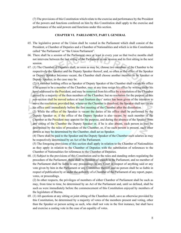(7) The provisions of this Constitution which relate to the exercise and performance by the President of the powers and functions conferred on him by this Constitution shall apply to the exercise and performance of the said powers and functions under this section.

#### **CHAPTER VI. PARLIAMENT, PART I. GENERAL**

- 65. The legislative power of the Union shall be vested in the Parliament which shall consist of the President, a Chamber of Deputies and a Chamber of Nationalities and which is in this Constitution called "the Parliament" or "the Union Parliament".
- 66. There shall be a session of the Parliament once at least in every year so that twelve months shall not intervene between the last sitting of the Parliament in one session and its first sitting in the next session.
- 67. (1) The Chamber of Deputies shall, as soon as may be, choose two members of the Chamber to be respectively the Speaker and the Deputy Speaker thereof, and, so often as the office of the Speaker or Deputy Speaker becomes vacant, the Chamber shall choose another member to be Speaker or Deputy Speaker, as the case may be.

(2) A member holding office as Speaker of Deputy Speaker of the Chamber shall vacate his office if he ceases to be a member of the Chamber, may at any time resign his office by writing under his hand addressed to the President, and may be removed from his office by a resolution of the Chamber passed by a majority of the then members of the Chamber; but no resolution for the purpose of this sub-section shall be moved unless at least fourteen days' notice has been given of the intention to move the resolution; provided that, whenever the Chamber is dissolved, the Speaker shall not vacate his office until immediately before the first meeting of the Chamber after the dissolution.

(3) While the office of the Speaker is vacant the duties of his office shall be performed by the Deputy Speaker or, if the office of the Deputy Speaker is also vacant, by such member of the Chamber as the President may appoint for the purpose, and during the absence of the Speaker from any sitting of the Chamber the Deputy Speaker or, if he is also absent, such person as may be determined by the rules of procedure of the Chamber, or, if no such person is present, such other person as may be determined by the Chamber, shall act as Speaker.

(4) There shall be paid to the Speaker and the Deputy Speaker of the Chamber such salaries as may be respectively determined by an Act of the Parliament.

(5) The foregoing provisions of this section shall apply in relation to the Chamber of Nationalities as they apply in relation to the Chamber of Deputies with the substitution of references to the Chamber of Nationalities for references to the Chamber of Deputies.

68. (1) Subject to the provisions of this Constitution and to the rules and standing orders regulating the procedure of the Parliament, there shall be freedom of speech in the Parliament, and no member of the Parliament shall be liable to any proceedings in any Court in respect of anything said or any vote given by him in the Parliament or any Committee thereof, and no person shall be so liable in respect of publication by or under the authority of a Chamber of the Parliament of any report, paper, votes, or proceedings.

(2) In other respects, the privileges of members of either Chamber of Parliament shall be such as may, from time to time, be determined by an Act of the Parliament and, until so defined, shall be such as were immediately before the commencement of this Constitution enjoyed by members of the legislature of Burma.

69. (1) All questions at any sitting or joint sitting of the Chambers shall, save as otherwise provided by this Constitution, be determined by a majority of votes of the members present and voting, other than the Speaker or person acting as such, who shall not vote in the first instance, but shall have and exercise a casting vote in the case of an equality of votes.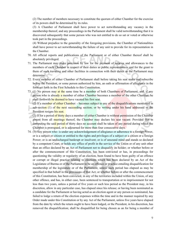(2) The number of members necessary to constitute the quorum of either Chamber for the exercise of its powers shall be determined by its rules.

(3) A Chamber of Parliament shall have power to act notwithstanding any vacancy in the membership thereof, and any proceedings in the Parliament shall be valid notwithstanding that it is discovered subsequently that some person who was not entitled to do so sat or voted or otherwise took part in the proceedings.

(4) Without prejudice to the generality of the foregoing provisions, the Chamber of Nationalities shall have power to act notwithstanding the failure of any unit to provide for its representation in the Chamber.

- 70. All official reports and publications of the Parliament or of either Chamber thereof shall be absolutely privileged.
- 71. The Parliament may make provision by law for the payment of salaries and allowances to the members of each Chamber in respect of their duties as public representatives and for the grant to them of such traveling and other facilities in connection with their duties as the Parliament may determine.
- 72. Every member of either Chamber of Parliament shall before taking his seat make and subscribe before the President, or some person authorized by him, an oath or affirmation of allegiance in the form set forth in the First Schedule to this Constitution.
- 73. (1) No person may at the same time be a member of both Chambers of Parliament, and, if any person who is already a member of either Chamber becomes a member of the other Chamber, he shall forthwith be deemed to have vacated his first seat.
	- (2) If a member of either Chamber: becomes subject to any of the disqualifications mentioned in sub-section (1) of the next succeeding section; or by writing under his hand addressed to the President resigns his seat.
	- (3) If for a period of thirty days a member of either Chamber is without permission of the Chamber absent from all meetings thereof, the Chamber may declare his seat vacant: Provided that in computing the said period of thirty days no account shall be taken of any period during which the Chamber is prorogued, or is adjourned for more than four consecutive days.
- 74. (1) Any person who- is under any acknowledgement of allegiance or adherence to a foreign Power, or is a subject or citizen or entitled to the rights and privileges of a subject or a citizen or a foreign Power; or is an undischarged bankrupt or insolvent; or is of unsound mind and stands so declared by a competent Court; or holds any office of profit in the service of the Union or of any unit other than an office declared by an Act of Parliament not to disqualify its holder; or whether before or after the commencement of this Constitution, has been convicted or has, in proceedings for questioning the validity or regularity of an election, been found to have been guilty of an offence or corrupt or illegal practice relating to elections which has been declared by an Act of the Legislature of Burma or of the Parliament to be an offence or practice entailing disqualification for membership of the legislature or of the Parliament, unless such period has elapsed as may be specified in that behalf in the provisions of that Act; or whether before or after the commencement of this Constitution, has been convicted, in any of the territories included within the Union, of any other offence, and has, in either case, been sentenced to transportation or to imprisonment for not less than two years, unless a period of five years or such less period as the President may, in his discretion, allow in any particular case, has elapsed since his release; or having been nominated as a candidate for the Parliament or having acted as an election agent or any person so nominated, has failed to lodge a return of the election expenses within the time and in the manner required by any Order made under this Constitution or by any Act of the Parliament, unless five years have elapsed from the date by which the return ought to have been lodged, or the President, in his discretion, has removed the disqualification; shall be disqualified for being chosen as an for being a member of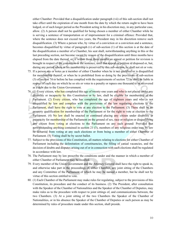either Chamber: Provided that a disqualification under paragraph (vii) of this sub-section shall not take effect until the expiration of one month from the date by which the return ought to have been lodged, or of such longer period as the President acting in his discretion may, in any particular case, allow. (2) A person shall not be qualified for being chosen a member of either Chamber while he is serving a sentence of transportation or of imprisonment for a criminal offence: Provided that, where the sentence does not exceed two years, the President may in his discretion remove such disqualification. (3) Where a person who, by virtue of a conviction or a conviction and a sentence, becomes disqualified by virtue of paragraph (v) of sub-section (1) of this section is at the date of the disqualification a member of a Chamber, his seat shall, notwithstanding anything in this or the last preceding section, not become vacant by reason of the disqualification until three months have elapsed from the date thereof, or, if within those three months an appeal or petition for revision is brought in respect of the conviction or the sentence, until that appeal or petition id disposed or, but, during any period where in his membership is preserved by this sub-section, he shall not sit or vote.

- 75. If a person sits or votes as a member of either Chamber when he is not qualified or is disqualified for membership thereof, or when he is prohibited from so doing by the provisions of sub-section (3) of section 74 or before he has complied with the requirements of section 72 he shall be liable in respect of each day on which he so sits or votes to a penalty or rupees one thousand to be recovered as a debt due to the Union Government.
- 76. (1) Every citizen, who has completed this age of twenty-one years and who is not placed under any disability or incapacity by this Constitution or by law, shall be eligible for membership of the Parliament. (2) Every citizen, who has completed the age of eighteen years and who is not disqualified by law and complies with the provisions of the law regulating elections to the Parliament, shall have the right to vote at any election to the Parliament. (3) There shall be no property qualification for membership of the Parliament or for the right to vote at election to the Parliament. (4) No law shall be enacted or continued placing any citizen under disability or incapacity for membership of the Parliament on the ground of sex, race or religion or disqualifying any citizen from voting at elections to the Parliament on any such ground: Provided that notwithstanding anything contained in section 21 (3), members of any religious order may by law be debarred from voting at any such elections or from being a member of either Chamber of Parliament. (5) Voting shall be by secret ballot.
- 77. Subject to the provisions of this Constitution, all matters relating to elections for either Chamber of Parliament including the delimitation of constituencies, the filling of casual vacancies, and the decision of doubts and disputes arising out of or in connection with such elections shall be regulated in accordance with law.
- 78. The Parliament may by law prescribe the conditions under and the manner in which a member of either Chamber of Parliament may be recalled.
- 79. Every member of the Union Government and the Attorney General shall have the right to speak in, and otherwise take part in the proceedings of, either Chamber, any joint sitting of the Chambers and any Committee of the Parliament of which he may be named a member, but he shall not by virtue of this section entitled to vote.
- 80. (1) Each Chamber of the Parliament may make rules for regulating, subject to the provisions of this Constitution, its procedure and the conduct of its business. (2) The President, after consultation with the Speaker of the Chamber of Nationalities and the Speaker of the Chamber of Deputies, may make rules as to the procedure with respect to joint sittings of, and communications between, the two Chambers. (3) At a joint sitting of the two Chambers the Speaker of the Chamber of Nationalities, or in his absence the Speaker of the Chamber of Deputies or such person as may be determined by rules of procedure made under this section, shall preside.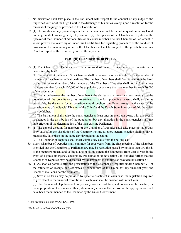- 81. No discussion shall take place in the Parliament with respect to the conduct of any judge of the Supreme Court or of the High Court in the discharge of his duties, except upon a resolution for the removal of the judge as provided in this Constitution.
- 82. (1) The validity of any proceedings in the Parliament shall not be called in question in any Court on the ground of any irregularity of procedure. (2) The Speaker of the Chamber of Deputies or the Speaker of the Chamber of Nationalities or any other member of either Chamber of Parliament in whom powers are vested by or under this Constitution for regulating procedure or the conduct of business or for maintaining order in the Chamber shall not be subject to the jurisdiction of any Court in respect of the exercise by him of those powers.

# **PART (II) CHAMBER OF DEPUTIES**

83. (1) The Chamber of Deputies shall be composed of members who represent constituencies determined by law.<sup>4</sup>

(2) The number of members of this Chamber shall be, as nearly as practicable, twice the number of members of the Chamber of Nationalities. The number of members shall from time to time be fixed by law but the total number of the members of the Chamber of Deputies shall not be fixed at less than one member for each 100,000 of the population, or at more than one member for each 30,000 of the population.

(3) The ration between the number of members to be elected at any time for a constituency and the population of the constituency, as ascertained at the last preceding census, shall, so far as practicable, be the same for all constituencies throughout the Union, except in the case of the constituencies of the Special Division of the Chins<sup>5</sup> and the Kayah State, in respect of this the ration may be higher.

(4) The Parliament shall revise the constituencies at least once in every ten years, with due regard to changes in the distribution of the population, but any alteration in the constituencies shall not take effect until the determination of the then existing Parliament.

84. (1) The general election for members of the Chamber of Deputies shall take place not later than sixty days after the dissolution of the Chamber. Polling at every general election shall, as far as practicable, take place on the same day throughout the Union.

(2) The Chamber of Deputies shall meet within sixty days from the polling day.

- 85. Every Chamber of Deputies shall continue for four years from the first meeting of the Chamber: Provided that the Chambers of Parliamentary may be resolution passed by not less than two thirds of the members present and voting at a joint sitting extend the said period from year to year in the event of a grave emergency declared by Proclamation under section 94: Provided further that the Chamber of Deputies may be dissolved by the President at any time as provided by section 57.
- 86. (1) As soon as possible after the presentation to the Chamber of Deputies under Chamber VII of the estimates of receipts and estimates of expenditure of the Union for any financial year, the Chamber shall consider the estimates.

(2) Save in so far as may be provided by specific enactment in each case, the legislation required to give effect to the financial resolutions of each year shall be enacted within that year.

(3) The Chamber of Deputies shall not pass any vote or resolution, and no law shall be enacted, for the appropriation of revenue or other public moneys, unless the purpose of the appropriation shall have been recommended to the Chamber by the Union Government.

 $\overline{a}$ 

<sup>4</sup> This section is deleted by Act LXII, 1951.

 $<sup>5</sup>$  Referred to in Part V of Chapter (IX).</sup>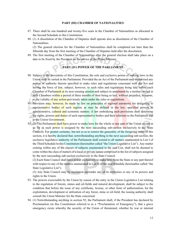#### **PART (III) CHAMBER OF NATIONALITIES**

- 87. There shall be one hundred and twenty-five seats in the Chamber of Nationalities as allocated in the Second Schedule to this Constitution.
- 88. (1) A dissolution of the Chamber of Deputies shall operate also as dissolution of the Chamber of Nationalities.

(2) The general election for the Chamber of Nationalities shall be completed not later than the fifteenth day from the first meeting of the Chamber of Deputies held after the dissolution.

89. The first meeting of the Chamber of Nationalities after the general election shall take place on a date to be fixed by the President on the advice of the Prime Minister.

# **PART (IV) POWER OF THE PARLIAMENT**

- 90. Subject to the provisions of this Constitution, the sole and exclusive power of making laws in the Union shall be vested in the Parliament. Provided the an Act of the Parliament may authorized any person or authority therein specified to make rules and regulations consonant with the Act and having the force of law, subject, however, to such rules and regulations being laid before each Chamber of Parliament at its next ensuing session and subject to annulment by a motion carried in both Chambers within a period of three months of their being so laid, without prejudice, however, to the validity of any action previously taken under the rules or regulations.
- 91. Provision may, however, be made by law on principles of regional autonomy for delegating to representative bodies of such regions as may be defined in the law, specified powers in administrative, cultural and economic matters. A law embodying such provisions shall determine the rights, powers and duties of such representative bodies and their relations to the Parliament and to the Union Government.
- 92. (1) The Parliament shall have power to make laws for the whole or any part of the Union except in so far as such power is assigned by the next succeeding sub-section exclusively to the State Councils. For greater certainty, but not so as to restrict the generality of the foregoing terms of this section, it is hereby declared that, notwithstanding anything in the next succeeding sub-section, the exclusive legislative authority of the Parliament shall extend to all matters enumerated in List I of the Third Schedule to this Constitution (hereinafter called "the Union Legislative List"). Any matter coming within any of the classes of subjects enumerated in the said List, shall not be deemed to come within the class of matters of a local or private nature comprised in the list of subjects assigned by the next succeeding sub-section exclusively to the State Council.

(2) Each State Council shall have power exclusively to make laws from the State or any part thereof with respect to any of the matters enumerated in List II of the said Schedule (hereinafter called "the State Legislative List").

(3) Any State Council may by resolution surrender any of its territories or any of its powers and rights to the Union.

- 93. The powers exercisable by the Union by reason of the entry in the Union Legislative List relating to the regulation of forests, mines and oil-fields and mineral development, shall be subject to the condition that before the issue of any certificate, license, or other form of authorization, for the exploitation, development or utilization of any forest, mine or oil-field, the issuing authority shall consult the Union Minister for the State concerned.
- 94. (1) Notwithstanding anything in section 92, the Parliament shall, if the President has declared by Proclamation (in this Constitution referred to as a "Proclamation of Emergency"), that a grave emergency exists whereby the security of the Union of threatened, whether by war or internal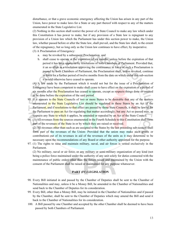disturbance, or that a grave economic emergency affecting the Union has arisen in any part of the Union, have power to make laws for a State or any part thereof with respect to any of the matters enumerated in the State Legislative List.

(2) Nothing in this section shall restrict the power of a State Council to make any law which under this Constitution it has power to make, but if any provision of a State law is repugnant to any provision of a Union law which the Parliament has under this section power to make, the Union law, whether passed before or after the State law, shall prevail, and the State law shall, to the extent of the repugnancy, but so long only as the Union law continues to have effect, by inoperative.

(3) A Proclamation of Emergency:

- a. may be revoked by a subsequent Proclamation, and
- b. shall cease to operate at the expiration of six months, unless before the expiration of that period it has been approved by resolutions of both Chambers of Parliament. Provided that, it an so often as a resolution approving the continuance in force of such a Proclamation is passed by both Chambers of Parliament, the Proclamation shall, unless revoked, continue in force for a further period of twelve months from the date on which under this sub-section it would otherwise have ceased to operate.

(4) A law made by the Parliament which it would not but for the issue of a Proclamation of Emergency have been competent to make shall cease to have effect on the expiration of a period of six months after the **Proclamation** has ceased to operate, except as respects things done or omitted to be done before the expiration of the said period.

- 95. If it appears to the State Councils of two or more States to be desirable that any of the matters enumerated in the State Legislative List should be regulated in these States by an Act of the Parliament, and if resolutions to that effect are passed by those State Councils, it shall be lawful for the Parliament to pass an Act for regulating that matter accordingly; but any Act so passed may, as respects any State to which it applies, be amended or repealed by an Act of the State Council.
- 96. (1) All revenues from the sources enumerated in the Fourth Schedule to this Constitution shall form part of the revenues of the State in or by which they are raised or received.

(2) All revenues other than such as are assigned to the States by the last preceding sub-section shall form part of the revenues of the Union: Provided that the union may make such grants or contributions out of its revenues in aid of the revenues of the units as it may determine to be necessary upon the recommendations of any Board or other authority appointed for the purpose.

97. (1) The rights to raise and maintain military, naval, and air forces is vested exclusively in the Parliament.

(2) No military, naval or air force, or any military or semi-military organization of any kind (not being a police force maintained under the authority of any unit solely for duties connected with the maintenance of public order) other than the forces raised and maintained by the Union with the consent of the Parliament shall be raised or maintained for any purpose whatsoever.

# **PART (IV) LEGISLATION**

- 98. Every Bill initiated in and passed by the Chamber of Deputies shall be sent to the Chamber of Nationalities and may, unless it be a Money Bill, be amended in the Chamber of Nationalities and send back to the Chamber of Deputies for its consideration.
- 99. Every Bill, other than a Money Bill, may be initiated in the Chamber of Nationalities and if passed by the Chamber, shall be sent to the Chamber of Deputies which may amend the Bill and send it back to the Chamber of Nationalities for its consideration.
- 100. A Bill passed by one Chamber and accepted by the other Chamber shall be deemed to have been passed by both Chambers of Parliament.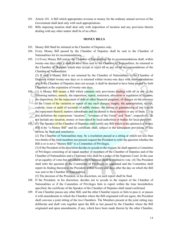- 101. Article 101. A Bill which appropriates revenue or money for the ordinary annual services of the Government shall deal only with such appropriations.
- 102. Bills imposing taxation shall deal only with imposition of taxation and any provision therein dealing with any other matter shall be of no effect.

#### **MONEY BILLS**

- 103. Money Bill Shall be initiated in the Chamber of Deputies only.
- 104. Every Money Bill passed by the Chamber of Deputies shall be sent to the Chamber of Nationalities for its recommendations.
- 105. (1) Every Money Bill sent to the Chamber of Nationalities for its recommendations shall, within twenty-one days after it shall be have been sent to the Chamber of Nationalities, be returned to the Chamber of Deputies which may accept or reject all or any of the recommendations of the Chamber of Nationalities.

(2) If such a Money Bill is not returned by the Chamber of Nationalities to the Chamber of Deputies within twenty-one days or is returned within twenty-one days with recommendations which the Chamber of Deputies does not accept, it shall be deemed to have been passed by both Chambers at the expiration of twenty-one days.

- 106. (1) A Money Bill means a Bill which contains only provisions dealing with all or any of the following matters, namely, the imposition, repeal, remission, alteration or regulation of taxation; the imposition, for the repayment of debt or other financial purposes, of charges on the revenues of the Union of the variation or repeal of any such charges; supply; the appropriation, receipt, custody, issue or audit of accounts of public money; the raising or guaranteeing of any loan or the repayment thereof; matters subordinate and incidental to these matters or any of them. (2) In this definition the expressions "taxation", "revenues of the Union" and "loan", respectively, do not include any taxation, money or loan raised by local authorities or bodies for local purposes.
- 107. (1) The Speaker of the Chamber of Deputies shall certify any Bill which in his opinion is a Money Bill to be "a Money Bill" and his certificate shall, subject to the subsequent provisions of this section, be final and conclusive.

(2) The Chamber of Nationalities may, by a resolution passed at a sitting at which not less than two-thirds of the total members are present request the President to refer the question whether the Bill is or is not a "Money Bill" to a Committee of Privileges.

(3) If the President in his discretion decides to accede to the request, he shall appoint a Committee of Privileges consisting of an equal number of members of the Chamber of Deputies and of the Chamber of Nationalities and a Chairman who shall be a judge of the Supreme Court. In the case of an equality of votes but not otherwise the Chairman shall be entitled to vote. (4) The President shall refer the question to the Committee of Privileges so appointed and the Committee shall report its finding thereon to the President within twenty-one days after the day on which the Bill was sent to the Chamber of Nationalities.

(5) The decision of the President, in his discretion, on such report shall be final.

- 108. If the President, in his discretion, decides not to accede to the request of the Chamber of Nationalities or if the Committee of Privileges fails to report within the time hereinbefore specified, the certificate of the Speaker of the Chamber of Deputies shall stand confirmed.
- 109. If one Chamber passes any other Bill, and the other Chamber rejects or fails to pass it, or passes it with amendments to which the Chamber where the Bill originated will not agree, the President shall convene a joint sitting of the two Chambers. The Members present at the joint sitting may deliberate and shall vote together upon the Bill as last passed by the Chamber where the Bill originated and upon amendments, if any, which have been made therein by the other Chamber,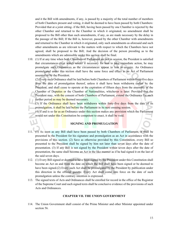and it the Bill with amendments, if any, is passed by a majority of the total number of members of both Chambers present and voting, it shall be deemed to have been passed by both Chambers: Provided that at a joint sitting- if the Bill, having been passed by one Chamber is rejected by the other Chamber and returned to the Chamber in which it originated, no amendment shall be proposed to the Bill other than such amendments, if any, as are made necessary by the delay in the passage of the Bill; If the Bill is, however, passed by the other Chamber with amendments and returned to the Chamber in which it originated, only such amendments as aforesaid and such other amendments as are relevant to the matters with respect to which the Chambers have not agreed, shall be proposed to the Bill; And the decision of the person presiding as to the amendments which are admissible under this section shall be final.

110. (1) If at any time when both Chambers of Parliament are not in session, the President is satisfied that circumstances exist which render it necessary for him to take immediate action, he may promulgate such Ordinances as the circumstances appear to him to require. An Ordinance promulgated under this section shall have the same force and effect as an Act of Parliament assented to by the President.

(2) Every such Ordinance shall be laid before both Chambers of Parliament within forty-five days from the date of promulgation thereof, unless it shall have been withdrawn earlier by the President, and shall cease to operate at the expiration of fifteen days from the assembly of the Chamber of Deputies or the Chamber of Nationalities, whichever is later: Provided that the President may, with the consent of both Chambers of Parliament, extend the Ordinance for such further period as may be deemed necessary.

(3) If the Ordinance shall have been withdrawn within forty-five days from the date of its promulgation, it shall be laid before the Parliament in its next ensuing session.

(4) If and is so far as an Ordinance under this section makes any provision which the Parliament would not under this Constitution be competent to enact, it shall be void.

### **SIGNING AND PROMULGATION**

- 111. (1) As soon as any Bill shall have been passed by both Chambers of Parliament, it shall be presented to the President for his signature and promulgation as an Act in accordance with the provisions of this section. (2) Save as otherwise provided by this Constitution, every Bill so presented to the President shall be signed by him not later than seven days after the date of presentation. (3) If any Bill is not signed by the President within seven days after the date of presentation, the same shall become an Act in the like manner as if he had signed it on the last of the said seven days.
- 112. (1) Every Bill signed or deemed to have been signed by the President under this Constitution shall become an Act on and from the date on which the Bill shall have been signed or be deemed to have been signed.(2) Every such Act shall be promulgated by the President by publication under this direction in the official gazette. Every Act shall come into force on the date of such promulgation unless the contrary intention is expressed.
- 113. The signed texts of Acts and Ordinances shall be enrolled for record in the office of the Registrar of the Supreme Court and such signed texts shall be conclusive evidence of the provisions of such Acts and Ordinances.

# **CHAPTER VII. THE UNION GOVERNMENT**

114. The Union Government shall consist of the Prime Minister and other Minister appointed under section 56.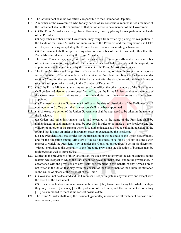- 115. The Government shall be collectively responsible to the Chamber of Deputies.
- 116. A member of the Government who for any period of six consecutive months is not a member of the Parliament shall at the expiration of that period cease to be a member of the Government.
- 117. (1) The Prime Minister may resign from office at any time by placing his resignation in the hands of the President.

(2) Any other member of the Government may resign from office by placing his resignation in the hands of the Prime Minister for submission to the President and the resignation shall take effect upon its being accepted by the President under the next succeeding sub-section.

(3) The President shall accept the resignation of a member of the Government, other than the Prime Minister, if so advised by the Prime Minister.

- 118. The Prime Minister may, at any time, for reasons which to him seem sufficient request a member of the Government to resign; should the member concerned fail to comply with the request, his appointment shall be terminated by the President if the Prime Minister so advices.
- 119. The Prime Minister shall resign from office upon his ceasing to retain the support of a majority in the Chamber of Deputies unless on his advice the President dissolves the Parliament under section 57 and on the re-assembly of the Parliament after the dissolution of the Prime Minister secures the support of a majority in the Chamber of Deputies.\*\*
- 120. (1) If the Prime Minister at any time resigns from office, the other members of the Government shall be deemed also to have resigned from office, but the Prime Minister and other members of the Government shall continue to carry on their duties until their successors shall have been appointed.

(2) The members of the Government in office at the date of dissolution of the Parliament shall continue to hold office until their successors shall have been appointed.

121. (1) All executive action of the Union Government shall be expressed to be taken in the name of the President.

(2) Orders and other instruments made and executed in the name of the President shall be authenticated in such manner as may be specified in rules to be made by the President and the validity of an order or instrument which is so authenticated shall not be called in question on the ground that it is not an order or instrument made or executed by the President.

(3) The President shall make rules for the transaction of the business of the Union Government, and for the allocation among Ministers of the said business in so far as it is not business with respect to which the President is by or under this Constitution required to act in his discretion. Without prejudice to the generality of the foregoing provisions the allocation of business may be regionwise as well as subjectwise.

- 122. Subject to the provisions of this Constitution, the executive authority of the Union extends- to the matters whit respect to which the Parliament has power to make laws; and to the governance, in accordance with the provisions of any treaty or agreement in this behalf, of any Armed Forces not raised in the Union that may, with the consent of the Government of the Union, be stationed in the Union of placed at the disposal of the Union.
- 123. (1) Was shall not be declared and the Union shall not participate in any war save and except with the assent of the Parliament.

(2) In case of actual or imminent invasion, however, [the] Government may take whatever steps they may consider [necessary] for the protection of the Union, and the Parliament if not sitting [....] be summoned to meet at the earliest possible date.

124. The Prime Minister shall keep the President [generally] informed on all matters of domestic and international policy.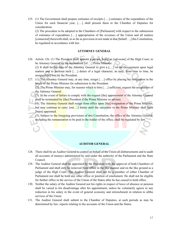125. (1) The Government shall prepare estimates of receipts [….] estimates of the expenditure of the Union for each financial year, [….] shall present them to the Chamber of Deputies for consideration.

(2) The procedure to be adopted in the Chambers of [Parliament] with respect to the submission of estimates of expenditure [….] appropriation of the revenues of the Union and all matters [connected] therewith shall, in so far as provision in not made in that [behalf...] this Constitution, be regulated in accordance with law.

#### **ATTORNEY GENERAL**

126. Article 126. (1) The President shall appoint a person, being an [advocate] of the High Court, to be Attorney General on the nomination [of….] Prime Minister.

(2) It shall be the duty of the Attorney General to give a [….] to the Government upon legal matters and to perform such [….] duties of a legal character, as may, from time to time, be assigned [to] him by the President.

127. (1). The Attorney General may, at any time, resign [….] office by placing his resignation in the hands of the Prime Minister for submission to the President.

(2). The Prime Minister may, for reasons which to him [….] sufficient, request the resignation of the Attorney General.

(3). In the event of failure to comply with the request [the] appointment of the Attorney General shall be terminated by [the] President if the Prime Minister so advises.

(4). The Attorney General shall resign from office upon [the] resignation of the Prime Minister, but may continue to carry [out....] duties until the successor to the Prime Minister shall have [been] appointed.

(5). Subject to the foregoing provisions of this Constitution, the office of the Attorney General, including the remuneration to be paid to the holder of the office, shall be regulated by law.

#### **AUDITOR GENERAL**

- 128. There shall be an Auditor General to control on behalf of the Union all disbursements and to audit all accounts of moneys administered by and under the authority of the Parliament and the State Council.
- 129. The Auditor General shall be appointed by the President with the approval of both Chambers of Parliament and shall only be removed from office in the like manner and on the like ground as a judge of the High Court. The Auditor General shall not be a member of either Chamber of Parliament nor shall he hold any other office or position of emolument. He shall not be eligible for further office in the service of the Union of the States after he has ceased to hold office.
- 130. Neither the salary of the Auditor General nor his rights in respect of leave of absence or pension shall be varied to his disadvantage after his appointment, unless he voluntarily agrees to any reduction in his salary in the event of general economy and retrenchment in relation to allthe services of the Union.
- 131. The Auditor General shall submit to the Chamber of Deputies, at such periods as may be determined by law, reports relating to the accounts of the Union and the States.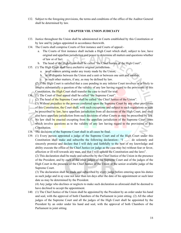132. Subject to the foregoing provisions, the terms and conditions of the office of the Auditor General shall be determined by law.

# **CHAPTER VIII. UNION JUDICIATY**

- 133. Justice throughout the Union shall be administered in Courts established by this Constitution or by law and by judges appointed in accordance therewith.
- 134. The Courts shall comprise Courts of first instance and Courts of appeal:
	- a. The Courts of first instance shall include a High Court which shall, subject to law, have original and appellate jurisdiction and power to determine all matters and questions whether of law or of fact.
	- b. The head of the High Court shall be called "the Chief Justice of the High Court".
- 135. (1) The High Court shall have exclusive original jurisdiction
	- a. in all matters arising under any treaty made by the Union;
		- b. in all disputes between the Union and a unit or between one unit and another;
	- c. in such other matters, if any, as may be defined by law.

(2) If the High Court is satisfied that a case pending in any inferior Court involves or is likely to involve substantially a question of the validity of any law having regard to the provisions of this Constitution, the High Court shall transfer the case to itself for trial.

- 136. (1) The Court of final appeal shall be called "the Supreme Court".
	- (2) The head of the Supreme Court shall be called "the Chief Justice of the Union".

(3) Without prejudice to the powers conferred upon the Supreme Court by any other provisions of this Constitution, the Court shall, with such exceptions and subject to such regulations as may

- be prescribed by law, have appellate jurisdiction from all decisions of the High Court, and shall
- also have appellate jurisdiction from such decisions of other Courts as may be prescribed by law.
- 137. No law shall be enacted excepting from the appellate jurisdiction of the Supreme Court cases which involve questions as to the validity of any law having regard to the provisions of this Constitution.
- 138. The decisions of the Supreme Court shall in all cases be final.
- 139. (1) Every person appointed a judge of the Supreme Court and of the High Court under this Constitution shall make and subscribe the following declaration:- "I …… do solemnly and sincerely promise and declare that I will duly and faithfully to the best of my knowledge and ability execute the office of the Chief Justice (or judge as the case may be) without fear or favor, affection or ill-will towards any man, and that I will uphold the Constitution and the laws".

(2) This declaration shall be made and subscribe by the Chief Justice of the Union in the presence of the President, and by each of the other judges of the Supreme Court and of the judges of the High Court in the presence of the Chief Justice of the Union or the senior available judge of the Supreme Court.

(3) The declaration shall be made and subscribed by every judge before entering upon his duties as such judge and in ay case not later than ten days after the date of his appointment or such later date as may be determined by the President.

(4) Any judge who declines or neglects to make such declaration as aforesaid shall be deemed to have declined to accept the appointment.

140. (1) The Chief Justice of the Union shall be appointed by the President by an order under his hand and seal, with the approval of both Chambers of the Parliament in joint sitting. (2) All the other judges of the Supreme Court and all the judges of the High Court shall be appointed by the President by an order under his hand and seal, with the approval of both Chambers of the Parliament in joint sitting.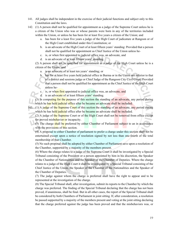- 141. All judges shall be independent in the exercise of their judicial functions and subject only to this Constitution and the laws.
- 142. (1) A person shall not be qualified for appointment as a judge of the Supreme Court unless he is a citizen of the Union who was or whose parents were born in any of the territories included within the Union, or unless he has been for at least five years a citizen of the Union; and
	- a. has been for a least five years a judge of the High Court of judicature at Rangoon or of the High Court established under this Constitution; or
	- b. is an advocate of the High Court of at least fifteen years' standing: Provided that a person shall not be qualified for appointment as Chief Justice of the Union unless he-
	- c. is, or when first appointed to judicial office was, an advocate, and
	- d. is an advocate of at least fifteen years' standing.

(2) A person shall not be qualified for appointment as a judge of the High Court unless he is a citizen of the Union; and

- a. is an advocate of at least ten years' standing; or
- b. has for at least five years held judicial office in Burma or in the Union not inferior to that of a district and sessions judge or Chief Judge of the Rangoon City Civil Court: Provided that a person shall not be qualified for appointment as the Chief Justice of the High Court unless he-
- c. is, or when first appointed to judicial office was, an advocate, and
- d. is an advocate of at least fifteen years' standing.

(3) In computing for the purpose of this section the standing of an advocate, any period during which he has held judicial office after he became an advocate shall be included.

143. (1) A judge of the Supreme Court of this section the standing of an advocate, any period during which he has held judicial office after he became an advocate shall be included.

(2) A judge of the Supreme Court or of the High Court shall not be removed from office except for proved misbehavior or incapacity.

(3) The charge shall be preferred by either Chamber of Parliament subject to an in accordance with the provisions of this section.

(4) A proposal to either Chamber of parliament to prefer a charge under this section shall not be entertained except upon a notice of resolution signed by not less than one-fourth of the total membership of that Chamber.

(5) No such proposal shall be adopted by either Chamber of Parliament save upon a resolution of the Chamber, supported by a majority of the members present.

(6) Where the charge relates to a judge of the Supreme Court it shall be investigated by a Special Tribunal consisting of the President or a person appointed by him in his discretion, the Speaker of the Chamber of Nationalities and the Speaker of the Chamber of Deputies. Where the charge relates to a judge of the High Court it shall be investigated by a Special Tribunal consisting of the Chief Justice of the Union, the Speaker of the Chamber of the Nationalities and the Speaker of the Chamber of Deputies.

(7) The judge against whom the charge is preferred shall have the right to appear and to be represented at the investigation of the charge.

(8) The Special Tribunal shall, after investigation, submit its reports to the Chamber by which the charge was preferred. The finding of the Special Tribunal declaring that the charge has not been proved, if unanimous, shall be final. But in all other cases, the report of the Special Tribunal shall be considered by both Chambers of Parliament in joint sitting. If, after consideration, a resolution be passed supported by a majority of the members present and voting at the joint sitting declaring that the charge preferred against the judge has been proved and that the misbehaviors was, or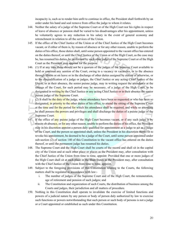incapacity is, such as to render him unfit to continue in office, the President shall forthwith by an order under his hand and seal remove from office the judge to whom it relates.

- 144. Neither the salary of a judge of the Supreme Court or of the High Court nor his rights in respect of leave of absence or pension shall be varied to his disadvantages after his appointment, unless he voluntarily agrees to any reduction in his salary in the event of general economy and retrenchment in relation to all the services of the Union.
- 145. If the office of the Chief Justice of the Union or of the Chief Justice of the High Court becomes vacant, or if either of them is, by reason of absence or for any other reason, unable to perform the duties of his office, those duties shall, until some person appointed to the vacant office has entered on the duties thereof, or until the Chief Justice of the Union or of the High Court, as the case may be, has resumed his duties, be performed by such other judge of the Supreme Court or of the High Court as the President may appoint for the purpose.
- 146. (1) If at any time there should not be a quorum of the judges of the Supreme Court available to hold or continue any session of the Court, owing to a vacancy or vacancies, or to the absence through illness or on leave or in the discharge of other duties assigned by statute of otherwise, or to the disqualification of a judge or judges, the Chief Justice or any acting Chief Justice of the Union, or in their absence, the senior puisne judge, may in writing request the attendance at the sittings of the Court, for such period may be necessary, of a judge of the High Court, to be designated in writing by the Chief Justice or any acting Chief Justice or in their absence the senior puisne judge of the Supreme Court.
	- (2) It shall be the duty of the judge, whose attendance have been so requested or who has been so designated, in priority to the other duties of his office, to attend the sitting of the Supreme Court at the time and for the period for which his attendance shall be required, and while so attending he shall possess the powers and privileges and shall discharge the duties of a puisne judge of the Supreme Court.
- 147. If the office of any puisne judge of the High Court becomes vacant, or if any such judge is by reason ob absence, or for any other reason, unable to perform the duties of his office, the President may in his discretion appoint a person duly qualified for appointment as a judge to act as a judge of the Court, and the person so appointed shall, unless the President in his discretion thinks fit to revoke his appointment, be deemed to be a judge of the Court, until some person appointed under sub-section (2) of section 140 of this Constitution to the vacant office has entered on the duties thereof, or until the permanent judge has resumed his duties.
- 148. The Supreme Court and the High Court shall be courts of the record and shall sit in the capital city of the Union and at such other place or places as the President may, after consultation with the Chief Justice of the Union from time to time, appoint: Provided that one or more judges of the High Court shall sit at such place in the Shan States as the President may, after consultation with the Chief Justice of the Union from time to time, appoint.
- 149. Subject to the foregoing provisions of this Constitution relating to the Courts, the following matters shall be regulated in accordance with law:
	- i. The number of judges of the Supreme Court and of the High Court, the remuneration, age of retirement and pension of such judges; and
	- ii. The Constitution and organization of such Courts, the distribution of business among the Courts and judges, their jurisdiction and all matters of procedure.
- 150. Nothing in this Constitution shall operate to invalidate the exercise of limited functions and powers of a judicial nature by any person or body of person duly authorized by law to exercise such functions or powers notwithstanding that such person or such body of persons is not a judge or a Court appointed or established as such under this Constitution.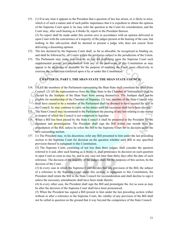151. (1) If at any time it appears to the President that a question of law has arisen, or is likely to arise, which is of such a nature and of such public importance that it is expedient to obtain the opinion of the Supreme Court upon it, he may refer the question to the Court for consideration, and the Court may, after such hearing as it thinks fit, report to the President thereon.

(2) No report shall be made under this section save in accordance with an opinion delivered in open Court with the concurrence of a majority of the judges present at the hearing of the case, but nothing in this sub-section shall be deemed to present a judge who does not concur from delivering a dissenting opinion.

- 152. The law declared by the Supreme Court shall, so far as allocable, be recognized as binding on, and shall be followed by, all Courts within the territories subject to the jurisdiction of the Union.
- 153. The Parliament may make provision by an Act for conferring upon the Supreme Court such supplemental powers not inconsistent with any of the provisions of this Constitution as may appear to be necessary or desirable for the purpose of enabling the Court more effectively to exercise the jurisdiction conferred upon it by or under this Constitution.

# **CHAPTER IX. PART I. THE SHAN STATE THE SHAN STATE COUNCIL**

- 154. (1) All the members of the Parliament representing the Shan State shall constitute the Shan State Council. (2) All the representatives from the Shan State in the Chamber of Nationalities shall be elected by the *Soahpas* of the Shan State from among themselves. The *Soahpas* shall not be eligible for membership of the Chamber of Deputies. (3) Any member of the State Council who shall have ceased to be a member of the Parliament shall be deemed to have vacated his seat in the Council, by may continue to carry on his duties until his successor shall have been elected.
- 155. The State Council may recommend to the Parliament the passing of any law relating to any matter in respect of which the Council is not competent to legislate.
- 156. When a Bill has been passed by the State Council it shall be presented to the President for his signature and promulgation. The President shall sign the Bill within one month from the presentation of the Bill, unless he refers the Bill to the Supreme Court for its decision under the next succeeding section.
- 157. (1) The President may, in his discretion, refer any Bill presented to him under the last preceding section to the Supreme Court for decision on the question whether such Bill or any specified provision thereof is repugnant to this Constitution.

(2) The Supreme Court, consisting of not less than three judges, shall consider the question referred to it and, after such hearing as it thinks it, shall pronounce its decision on such question in open Court as soon as may be, and in any case not later than thirty days after the date of such reference. The decision of the majority of the judges shall, for the purposes of this section, be the decision of the Court.

(3) In every case in which the Supreme Court decides that any provision of the Bill, the subject of a reference to the Supreme Court under this section, is repugnant to this Constitution, the President shall return the Bill to the State Council for reconsideration and shall decline to sign it unless the necessary amendments shall have been made thereto.

(4) In every other case, the President shall sign the Bill and promulgate the Act as soon as may be after the decision of the Supreme Court shall have been pronounced.

(5) When the President has signed a Bill present to him under the last preceding section wither without or after a reference to the Supreme Court, the validity of any provision of the Bill shall not be called in question on the ground that it way beyond the competence of the State Council.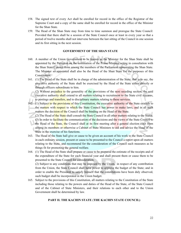- 158. The signed text of every Act shall be enrolled for record in the office of the Registrar of the Supreme Court and a copy of the same shall be enrolled for record in the office of the Minister for the Shan State.
- 159. The Head of the Shan State may from time to time summon and prorogue the State Council: Provided that there shall be a session of the State Council once at least in every year so that a period of twelve months shall not intervene between the last sitting of the Council in one session and its first sitting in the next session.

#### **GOVERNMENT OF THE SHAN STATE**

- 160. A member of the Union Government to be known as the Minister for the Shan State shall be appointed by the President on the nomination of the Prime Minister acting in consultation with the Shan State Council from among the members of the Parliament representing the Shan State. The Minister so appointed shall also be the Head of the Shan State for the purposes of this Constitution.
- 161. (1) The Head of the State shall be in charge of the administration of the State; that is to say, the executive authority of the State shall be exercised by the Head of the State either directly or through officers subordinate to him.

(2) Without prejudice to the generality of the provisions of the next seceding section, the said executive authority shall extend to all matters relating to recruitment to the State civil services, to postings and transfers, and to disciplinary matters relating to these services.

162. (1) Subject to the provisions of this Constitution, the executive authority of the State extends to the matters with respect to which the State Council has power to make laws, and in all such matters the decision of the Council shall be binding on the Head of the State.

(2) The Head of the State shall consult the State Council in all other matters relating to the States. (3) In order to facilitate the communication of the decisions and the views of the State Council to the Head of the State, the Council shall at its first meeting after a general election elect from among its members or otherwise a Cabinet of State Ministers to aid and advice the Head of the State in the exercise of his functions.

- 163. The Head of the State hall give or cause to be given an account of his work to the State Council in each ordinary session, present or cause to be presented to the Council a report upon all matters relating to the State, and recommend for the consideration of the Council such measures as he things fit for promoting the general welfare.
- 164. (1) The Head of the State shall prepare or cause to be prepared the estimate of the receipts and of the expenditure of the State for each financial year and shall present them or cause them to be presented to the State Council for consideration.

(2) Subject to any conditions that may be imposed by the Union, in respect of any contribution from the Union, the State Council shall have power to approve the budget of the State; and in order to enable the President to satisfy himself that the constitutions have been duly observed, such budget shall be incorporated in the Union budget.

165. Subject to the provisions of this Constitution, all matters relating to the Constitution of the State including those relating to the powers and duties of the Head of the State, of the State Council and of the Cabinet of State Ministers, and their relations to each other and to the Union Government shall be determined by law.

#### **PART II. THE KACHIN STATE** (**THE KACHIN STATE COUNCIL)**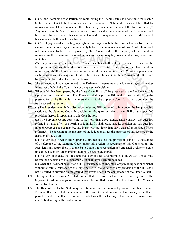- 166. (1) All the members of the Parliament representing the Kachin State shall constitute the Kachin State Council. (2) Of the twelve seats in the Chamber of Nationalities six shall be filled by representatives of the Kachins and the other six by those non-Kachins of the Kachin State. (3) Any member of the State Council who shall have ceased to be a member of the Parliament shall be deemed to have vacated his seat in the Council, but may continue to carry on his duties until his successor shall have been selected.
- 167. (1) A Bill prejudicially affecting any right or privilege which the Kachins or the non-Kachins, as a class or community, enjoyed immediately before the commencement of this Constitution, shall not be deemed to have been passed by the Council unless the majority of the members representing the Kachins or the non-Kachins, as the case may be, present and voting, have voted in its favor.

(2) If any question arises in the State Council whether a Bill is of the character described in the last preceding sub-section, the presiding officer shall take the vote of the last members representing the Kachins and those representing the non-Kachins in the Council separately on such question and if a majority of either class of members vote in the affirmative, the Bill shall be deemed to be of the character mentioned.

- 168. The State Council may recommend to the Parliament the passing of any law relating to any matter in respect of which the Council is not competent to legislate.
- 169. When a Bill has been passed by the State Council it shall be presented to the President for his signature and promulgation. The President shall sign the Bill within one month from the presentation of the Bill, unless he refers the Bill to the Supreme Court for its decision under the next succeeding section.
- 170. (1) The **President may, in** his discretion, refer any Bill presented to him under the last preceding section to the Supreme Court for decision on the question whether such Bill or any specified provision thereof is repugnant to this Constitution.

(2) The Supreme Court, consisting of not less than three judges, shall consider the question referred to it and, after such hearing as it thinks fit, shall pronounce its decision on such question in open Court as soon as may be, and in any case not later than thirty days after the date of such reference. The decision of the majority of the judges shall, for the purposes of this section, be the decision of the Court.

(3) In every case in which the Supreme Court decides that any provision of the Bill, the subject of a reference to the Supreme Court under this section, is repugnant to this Constitution, the President shall return the Bill to the State Council for reconsideration and shall decline to sign it unless the necessary amendments shall have been made thereto.

(4) In every other case, the President shall sign the Bill and promulgate the Act as soon as may be after the decision of the Supreme Court shall have been pronounced.

(5) When the President has signed a Bill presented to him under the last preceding section whether without or after a reference to the Supreme Court, the validity of any provision of the Bill shall not be called in question on the ground that it was beyond the competence of the State Council.

- 171. The signed text of every Act shall be enrolled for record in the office of the Registrar of the Supreme Court and a copy of the same shall be enrolled for record in the office of the Minister for the Kachin State.
- 172. The Head of the Kachin State may from time to time summon and prorogue the State Council: Provided that there shall be a session of the State Council once at least in every year so that a period of twelve months shall not intervene between the last sitting of the Council in once session and its first sitting in the next session.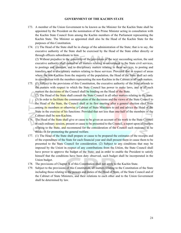#### **GOVERNMENT OF THE KACHIN STATE**

- 173. A member of the Union Government to be known as the Minister for the Kachin State shall be appointed by the President on the nomination of the Prime Minister acting in consultation with the Kachin State Council from among the Kachin members of the Parliament representing the Kachin State. The Minister so appointed shall also be the Head of the Kachin State for the purposes of this Constitution.
- 174. (1) The Head of the State shall be in charge of the administration of the State; that is to say, the executive authority of the State shall be exercised by the Head of the State either directly or through officers subordinate to him.

(2) Without prejudice to the generality of the provisions of the next succeeding section, the said executive authority shall extend to all matters relating to recruitment to the State civil services, to postings and transfers, and to disciplinary matters relating to these services, to posting and transfers, and to disciplinary matters relating to these services: Provided that in respect of areas where the non-Kachins from the majority of the population, the Head of the State shall act only in consultation with the members representing the non-Kachins in the Cabinet in all such matters.

175. (1) Subject to the provisions of this Constitution, the executive authority of the State extends to the matters with respect to which the State Council has power to make laws, and in all such matters the decisions of the Council shall be binding on the Head of the State.

(2) The Head of the State shall consult the State Council in all other matters relating to the State.

(3) In order to facilitate the communication of the decisions and the views of the State Council to the Head of the State, the Council shall at its first meeting after a general election elect from among its members or otherwise a Cabinet of State Ministers to aid and advice the Head of the State in the exercise of his functions: Provided that not less than one-half of the members of the Cabinet shall be non-Kachins.

- 176. The Head of the State shall give or cause to be given an account of his work to the State Council in each ordinary session, present or cause to be presented to the Council, a report upon all matters relating to the State, and recommend for the consideration of the Council such measures as he thinks fit for promoting the general welfare.
- 177. (1) The Head of the State shall prepare or cause to be prepared the estimates of the receipts and of the expenditure of the State for each financial year and shall present them or cause them to be presented to the State Council for consideration. (2) Subject to any conditions that may be imposed by the Union in respect of any contributions from the Union, the State Council shall have power to approve the budget of the State; and in order to enable the President to satisfy himself that the conditions have been duty observed, such budget shall be incorporated in the Union budget.
- 178. The provisions of Chapter X of this Constitution shall not apply to the Kachin State.
- 179. Subject to the provisions of this Constitution, all matters relating to the Constitution of the State including those relating to the powers and duties of the Head of State, of the State Council and of the Cabinet of State Ministers, and their relations to each other and to the Union Government shall be determined by law.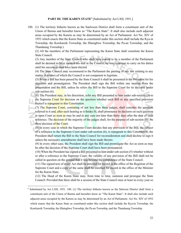### PART III. THE KAREN STATE<sup>6</sup> [Substituted by Act LXII, 1951.]

180. (1) The territory hitherto known as the Sanlween District shall form a constituent unit of the Union of Burma and hereafter know as "The Karen State". It shall also include such adjacent areas occupied by the Karens as may be determined by an Act of Parliament. Act No. XIV of 1952 which enacts that the Karen State as constituted under this section shall include the Kya-in Township, the Kawkareik Township, the Hlaingbwe Township, the Pa-an Township, and the Thandaung Township.)

(2) All the members of the Parliament representing the Karen State shall constitute the Karen State Council.

(3) Any member of the State Council who shall have ceased to be a member of the Parliament shall be deemed to have vacated his seat in the Council, by may continue to carry on his duties until his successor shall have been elected.

(4) The State Council may recommend to the Parliament the passing of any law relating to any matter in respect of which the Council is not competent to legislate.

(5) When a Bill has been passed by the State Council it shall be presented to the President for his signature and promulgation. The President shall sign the Bill within one months from the presentation and the Bill, unless he refers the Bill to the Supreme Court for its decision under sub-section  $(6)$ .

(6) The President  $\frac{may}{may}$ , in his discretion, refer any Bill presented to him under sub-section (5) to the Supreme Court for decision on the question whether such Bill or any specified provision thereof is repugnant to this Constitution.

(7) The Supreme Court, consisting of not less than three judges, shall consider the question referred to it and, after such hearing as it thinks fit, shall pronounce its decision on such question in open Court as soon as may be and in any case not later than thirty days after the date of such reference. The decision of the majority of the judges shall, for the purpose of sub-section (6), be there decision of the Court.

(8) In every case in which the Supreme Court decides that any provision of the Bill, the subject of a reference to the Supreme Court under sub-section (6), is repugnant to this Constitution, the President shall return the Bill to the State Council for reconsideration and shall decline to sign it unless the necessary amendments shall have been made thereto.

(9) In every other case, the President shall sign the Bill and promulgate the Act as soon as may be after the decision of the Supreme Court shall have been pronounced.

(10) When the President has signed a Bill presented to him under sub-section (5) whether without or after a reference to the Supreme Court, the validity of any provision of the Bill shall not be called in question on the ground that it was beyond the competence of the State Council.

(11) The signed text of every Act shall be enrolled for record in the office of the Registrar of the Supreme Court and a copy of the same shall be enrolled for record in the office of the Minister for the Karen State.

(12) The Head of the Karen State may, from time to time, summon and prorogue the State Council: Provided that there shall be a session of the State Council once at least in every year so

 $\overline{a}$ 

<sup>6</sup> Substituted by Act LXII, 1951. 180. (1) The territory hitherto known as the Salween District shall form a constituent unit of the Union of Burma and hereafter know as "The Karen State". It shall also include such adjacent areas occupied by the Karens as may be determined by an Act of Parliament. Act No. XIV of 1952 which enacts that the Karen State as constituted under this section shall include the Kya-in Township, the Kawkareik Township, the Hlaingbwe Township, the Pa-an Township, and the Thandaung Township.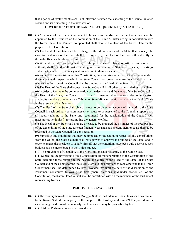that a period of twelve months shall not intervene between the last sitting of the Council in once session and its first sitting in the next session.

**GOVERNMENT OF THE KAREN STATE** [Substituted by Act LXII, 1951.]

181. (1) A member of the Union Government to be know as the Minister for the Karen State shall be appointed by the President on the nomination of the Prime Minister acting in consultation with the Karen State. The Minister so appointed shall also be the Head of the Karen State for the purpose of this Constitution.

(2) The Head of the State shall be in charge of the administration of the State; that is to say, the executive authority of the State shall be exercised by the Head of the State either directly or through officers subordinate to him.

(3) Without prejudice to the generality of the provisions of sub-section (4), the said executive authority shall extend to all matters relating to recruitment to the State civil services, to postings and transfers and to disciplinary matters relating to these services.

(4) Subject to the provisions of this Constitution, the executive authority of the State extends to the matters with respect to which the State Council has power to make laws, and in all such matters the decision of the Council shall be binding on the Head of the State.

(5) The Head of the State shall consult the State Council in all other matters relating to the State. (6) In order to facilitate the communication of the decisions and the views of the State Council to the Head of the State, the Council shall at its first meeting after a general election elect from among its members or otherwise a Cabinet of State Ministers to aid and advice the Head of State in the exercise of his functions.

(7) The Head of the State shall give or cause to be given an account of his work to the State Council in each ordinary session, present or cause to be presented to the Council a report upon all matters relating to the State, and recommend for the consideration of the Council such measures as he thinks fit for promoting the general welfare.

(8) The Head of the State shall prepare or cause to be prepared the estimates of the receipts and of the expenditure of the State for each financial year and shall present them or cause them to be presented to the State Council for consideration.

(9) Subject to any conditions that may be imposed by the Union in respect of any contributions from the Union, the State Council shall have power to approve the budget of the State; and in order to enable the President to satisfy himself that the conditions have been duly observed, such budget shall be incorporated in the Union budget.

(10) The provisions of Chapter X of this Constitution shall not apply to the Karen State.

(11) Subject to the provisions of this Constitution all matters relating to the Constitution of the State including those relating to the powers and duties of the Head of the State, of the State Council and of the Cabinet of the State Ministers and their relations to each other and to the Union Government shall be determined by law: Provided that until the date of the dissolution of the Parliament constituted following the first general elections held under section 233 of the Constitution, the Karen State Council shall be constituted with all the members of the Parliament representing Karens.

#### **PART IV THE KAYAH STATE**

- 182. (1) The territory heretofore known as Mongpai State in the Federated Shan States shall be acceded to the Kayah State if the majority of the people of the territory so desire. (2) The procedure for ascertaining the desire of the majority shall be such as may be prescribed by law.
- 183. (1) Until the Parliament otherwise provides: -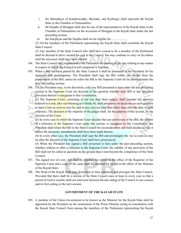- i. the Shawphyas of Kantarawaddy, Bawlake, and Kyebogyi shall represent the Kayah State in the Chamber of Nationalities;
- ii. the Saopha of Mongpai shall also be one of the representatives of the Kayah State in the Chamber of Nationalities on the accession of Mongpai to the Kayah State under the last preceding section;
- iii. the Sawphyas and the Saopha shall not be eligible for ...............

(2) All the members of the Parliament representing the Kayah State shall constitute the Kayah State Council.

(3) Any member of the State Council who shall have ceased to be a member of the Parliament shall be deemed to have vacated his seat in the Council, but may continue to carry on his duties until his successor shall have been elected.

- 184. The State Council may recommend to the Parliament the passing of any law relating to any matter in respect of which the Council is not competent to legislate.
- 185. When a Bill has been passed by the State Council it shall be presented to the President for his signature and promulgation. The President shall sign the Bill within one month from the presentation of the Bill, unless he refers the Bill to the Supreme Court for its decision under the next succeeding section.
- 186. (1) The President may, in his discretion, refer any Bill presented to him under the last preceding section to the Supreme Court for decision of the question whether such Bill or any specified provision thereof is repugnant to this Constitution.

(2) The Supreme Court, consisting of not less than three judges, shall consider the question referred to it and, after such hearing as it thinks fit, shall pronounce its decisions on such question in open Court as soon as may be, and in any case not later than thirty days after the date of such reference. The decision of the majority of the judges shall, for the purpose of this section, be the decision of the Court.

(3) In every case in which the Supreme Court decides that any provisions of the Bill, the subject of a reference to the Supreme Court under this section, is repugnant to this Constitution, the President shall return the Bill to the State Council for reconsideration and shall decline to sign it unless the necessary amendments shall have been made thereto.

(4) In every other case, the President shall sign the Bill and promulgate the Act as soon as may be after the decision of the Supreme Court shall have pronounced.

(5) When the President has signed a Bill presented to him under the past preceding section, whether without or after a reference to the Supreme Court, the validity of any provision of the Bill shall not be called in question on the ground that it was beyond the competence of the State Council.

- 187. The signed text of every Act shall be enrolled for record in the office of the Registrar of the Supreme Court and a copy of the same shall be enrolled for record in the office of the Minister of the Kayah State.
- 188. The Head of the Kayah State may from time to time summons and prorogue the State Council. Provided that there shall be a session of the State Council once at least in every year so that a period of twelve months shall not intervene between the last sitting of the Council in one session and its first setting in the next session.

#### **GOVERNMENT OF THE KAYAH STATE**

189. A member of the Union Government to be known as the Minister for the Kayah State shall be appointed by the President on the nomination of the Prime Minister acting in consultation with the Kayah State Council from among the members of the Parliament representing the Kayah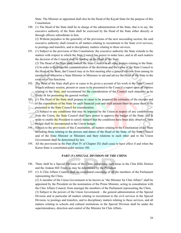State. The Minister so appointed shall also be the Head of the Kayah State for the purpose of this Constitution.

190. (1) The Head of the State shall be in charge of the administration of the State, that is to say, the executive authority of the State shall be exercised by the Head of the State either directly or through officers subordinate to him.

(2) Without prejudice to the generality of the provisions of the next succeeding section, the said executive authority shall extend to all matters relating to recruitment to the State civil services, to postings and transfers, and to disciplinary matters relating to these services.

191. (1) Subject to the provision of this Constitution, the executive authority the State extends to the matters with respect to which the State Council has power to make laws, and in all such matters the decision of the Council shall be binding on the Head of the State.

(2) The Head of the State shall consult the State Council in all other matters relating to the State. (3) In order to facilitate the communication of the decisions and the views of the State Council to the Head of the State, the Council may at its first meeting after a general election from among its members or otherwise a State Minister or Ministers to aid and advice the Head of the State in the exercise of his functions.

- 192. The Head of the State shall give or cause to be given a account of his work to the State Council in each ordinary session, present or cause to be presented to the Council a report upon all matters relating to the State, and recommend for the consideration of the Council such measures as he thinks fit for promoting the general welfare.
- 193. (1) The Head of the State shall prepare or cause to be prepared the estimates of the receipts and of the expenditure of the State for each financial year and shall present them or cause them to be presented to the State Council for consideration.

(2) Subject to any conditions that may be imposed by the Union in respect of any contributions from the Union, the State Council shall have power to approve the budget of the State; and in order to enable the President to satisfy himself that the conditions have been duly observed, such budget shall be incorporated in the Union budget.

- 194. Subject to the provisions of this Constitution, all matters relating to the Constitution of the State including those relating to the powers and duties of the Head of the State, of the State Council and of the State Minister or Ministers and their relations to each other and to the Union Government shall be determined by law.
- 195. All the provisions in the Part (Part IV of Chapter IX) shall cease to have effect if and when the Karen State is constituted under section 180.

# **PART (V) SPECIAL DIVISION OF THE CHINS**

- 196. There shall be a Special Division of the Chins comprising such areas in the Chin Hills District and the Arakan Hill Tracts as may be determined by the President.
- 197. (1) A Chin Affairs Council shall be constituted consisting of all the members of the Parliament representing the Chins.

(2) A member of the Union Government to be known as "the Minister for Chin Affairs" shall be appointed by the President on the nomination of the Prime Minister, acting in consultation with the Chin Affairs Council, from amongst the members of the Parliament representing the Chins.

(3) Subject to the powers of the Union Government: - the general administration of the Special Division and in particular all matters relating to recruitment to the civil services in the Special Division, to postings and transfers, and to disciplinary matters relating to these services, and all matters relating to schools and cultural institutions in the Special Division shall be under the superintendence, direction and control of the Minister for Chin Affairs.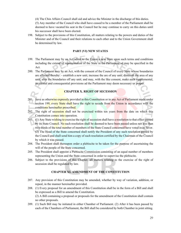(4) The Chin Affairs Council shall aid and advice the Minister in the discharge of this duties.

(5) Any member of the Council who shall have ceased to be a member of the Parliament shall be deemed to have vacated his seat in the Council but he may continue to carry on this duties until his successor shall have been elected.

198. Subject to the provisions of this Constitution, all matters relating to the powers and duties of the Minister and of the Council and their relations to each other and to the Union Government shall be determined by law.

# **PART (VI) NEW STATES**

- 199. The Parliament may by an Act admit to the Union a new State upon such terms and conditions including the extend of representation of the State in the Parliament ad may be specified in the Act.
- 200. The Parliament may by an Act, with the consent of the Council of every State whose boundaries are affected thereby: - establish a new unit; increase the are of any unit; diminish the area of any unit; alter the boundaries off any unit; and may, with the like consent, make such supplemental, incidental and consequential provisions ad the Parliament may deem necessary or proper.

# **CHAPTER X. RIGHT OF SECESSION**

- 201. Save as otherwise expressly provided in this Constitution or in any Act of Parliament made under section 199, every State shall have the right to secede from the Union in accordance with the conditions hereinafter prescribed.
- 202. The right of secession shall not be exercised within ten years from the date on which this Constitution comes into operation.
- 203. (1) Any State wishing to exercise the right of secession shall have a resolution to that effect passed by its State Council. No such resolution shall be deemed to have been passed unless not less than two-thirds of the total number of members of the State Council concerned have voted in its favor. (2) The Head of the State concerned shall notify the President of any such resolution passed by the Council and shall send him a copy of such resolution certified by the Chairman of the Council by which it was passed.
- 204. The President shall thereupon order a plebiscite to be taken for the purpose of ascertaining the will of the people of the State concerned.
- 205. The President shall appoint a Plebiscite Commission consisting of an equal number of members representing the Union and the State concerned in order to supervise the plebiscite.
- 206. Subject to the provisions of this Chapter, all matters relating to the exercise of the right of secession shall be regulated by law.

# **CHAPTER XI. AMENDMENT OF THE CONSTITUTION**

- 207. Any provision of this Constitution may be amended, whether by way of variation, addition, or repeal, in the manner hereinafter provided.
- 208. (1) Every proposal for an amendment of this Constitution shall be in the form of a Bill and shall be expressed as a Bill to amend the Constitution.

(2) A Bill containing a proposal or proposals for the amendment of the Constitution shall contain no other proposals.

209. (1) Such Bill may be initiated in either Chamber of Parliament. (2) After it has been passed by each of the Chambers of Parliament, the Bill shall be considered by both Chamber in joint sitting.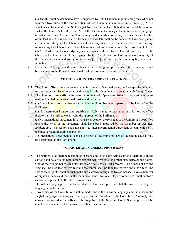(3) The Bill shall be deemed to have been passed by both Chambers in joint sitting only when not less than two-thirds of the then members of both Chambers have voted in its favor. (4) A Bill which seeks to amend: - the State Legislative List in the Third Schedule, or the State Revenue List in the Fourth Schedule, or an Act of the Parliament making a declaration under paragraph (iv) of subsection (1) of section 74 removing the disqualification of any persons for membership of the Parliament as representative from any of the State shall not be deemed to have been passed at the joint sitting of the Chambers unless a majority of the members present and voting, representing the State or each of the States concerned, as the case may be, have voted in its favor. (5) A Bill which seeks to abridge any special rights conferred by this Constitution on […….] the Chins shall not be deemed to have passed by the Chambers in joint sitting unless a majority of the members present and voting, representing […….] the Chins, as the case may be, have voted in its favor.

210. Upon the Bill being passed in accordance with the foregoing provisions of this Chapter, it shall be presented to the President who shall forthwith sign and promulgate the same.

# **CHAPTER XII. INTERNATIONAL RELATIONS**

- 211. The Union of Burma renounces war as an instrument of national policy, and accepts the generally recognized principles of international law as its rule of conduct in its relation with foreign States.
- 212. The Union of Burma affirms its devotion to the ideal of peace and friendly cooperation amongst nations founded on international justice and morality.
- 213. (1) Every international agreement to which the Union becomes a party shall be laid before the Parliament.

(2) No international agreement requiring or likely to require legislation in order to give effect thereto shall be ratified except with the approval of the Parliament.

(3) No international agreement involving a charge upon the revenues of the Union shall be ratified unless the terms of the agreement shall have been approved by the Chamber of Deputies. *Explanation.* This section shall not apply to inter-governmental agreement or convention of a technical or administrative character.

214. No international agreement as such shall be part of the municipal law of the Union, save as may be determined by the Parliament.

#### **CHAPTER XIII. GENERAL PROVISIONS**

- 215. The National Flag shall be rectangular in shape and red in color with a canton of dark blue. In the canton shall be a five-pointed large white star with five smaller similar stars between the points. One of the five points of each star, large or small shall direct upwards. The dimensions of the Flag shall be nice feet by five feet and the canton shall be four feet by two and a half feet. The size of the large star shall be such that a circle drawn through the five points shall have a diameter of eighteen inches and the smaller stars nice inches. National Flags of other sizes shall conform as nearly as possible to the above proportions.
- 216. The official language of the Union shall be Burmese, provided that the use of the English language may be permitted.
- 217. Two copies of the Constitution shall be made, one in the Burmese language and the other in the English language, both copies to be signed by the President of the Constituent Assembly and enrolled for record in the office of the Registrar of the Supreme Court. Such copies shall be conclusive evidence of the provisions of this Constitution.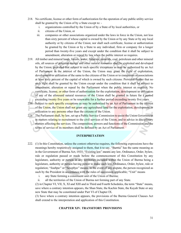- 218. No certificate, license or other form of authorization for the operation of any public utility service shall be granted by the Union of by a State except to:
	- i. organizations controlled by the Union of by a State of by local authorities, or
	- ii. citizens of the Union, or
	- iii. companies or other associations organized under the laws in force in the Union, not less than sixty percent of whose capital is owned by the Union or by any State or by any local authority or by citizens of the Union; nor shall such certificate, license or authorization be granted by the Union or by a State to any individual, firm or company for a longer period than twenty-five years and except under the condition that it shall be subject to amendment, alteration or repeal by law when the public interest so requires.
- 219. All timber and mineral lands, forests, water, fisheries, minerals, coal, petroleum and other mineral oils, all sources of potential energy and other natural resources shall be exploited and developed by the Union; provided that subject to such specific exceptions as may be authorized by an Act of Parliament in the interest of the Union, the Union may grant the right of exploitation, development or utilization of the same to the citizens of the Union or to companies or associations at least sixty percent of the capital of which is owned by such citizens: Provided further that no such right shall be granted by the Union except under the condition that it shall be subject to amendment, alteration or repeal by the Parliament when the public interest so requires. No certificate, license, or other form of authorization for the exploitation, development or utilization of any of the aforesaid natural resources of the Union shall be granted in future for a period exceeding twenty five years or be renewable for a further period exceeding twenty five years.
- 220. Subject to such specific exceptions as may be authorized by an Act of Parliament in the interest of the Union, the Union shall not grant any agricultural land for the exploitation, development or utilization to any persons other than the citizens of the Union.
- 221. The Parliament shall, by law, set up a Public Service Commission to assist the Union Government in matters relating to recruitment to the civil services of the Union, and to advice in disciplinary matters affecting the services. The composition, powers and functions of the Commission and the terms of service of its members shall be defined by an Act of Parliament.

# **INTERPRETATION**

- 222. (1) In this Constitution, unless the context otherwise requires, the following expressions have the meanings hereby respectively assigned to them, that it to say, "Burma" has the same meaning as in the Government of Burma Act, 1935; "Existing law" means any law, Ordinance, Order, bylaw, rule or regulation passed or made before the commencement of this Constitution by any legislature, authority or person in any territories included within the Union of Burma being a legislature, authority or person having power to make such law, Ordinance, Order, bylaw, rule or regulation; "*Soahpa"* or "*Sawphya"* means, in the event of any dispute, the person recognized as such by the President in accordance with the rules of succession applicable; "Unit" means
	- i. any State forming a constituent unit of the Union of Burma;
	- ii. all the territories of the Union of Burma not forming part of any State.

(2) in Chapter VI, VII, X, XI and XIII and in Third and Fourth Schedules, the term "State" means, save where a contrary intention appears, the Shan State, the Kachin State, the Kayah State or any new State that may be constituted under Part VI of Chapter IX.

(3) Save where a contrary intention appears, the provisions of the Burma General Clauses Act shall extend to the interpretation and application of this Constitution.

# **CHAPTER XIV. TRANSITORY PROVISIONS**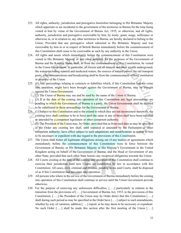- 223. All rights, authority, jurisdiction and prerogative heretofore belonging to His Britannic Majesty which appertain or are incidental to the government of the territories in Burma for the time being vested in him by virtue of the Government of Burma Act, 1935, or otherwise, and all rights, authority, jurisdiction and prerogative exercisable by him, by treaty, grant, usage, sufferance or otherwise in, or in relation to, any other territories in Burma, are hereby declared to belong to the Union: Provided that any prerogative which subsisted in His Britannic Majesty and was exercisable by him in or in respect of British Burma immediately before the commencement of this Constitution shall cease to be exercisable as such by any authority in the Union.
- 224. All rights and assets which immediately before the commencement of this Constitution were vested in His Britannic Majesty or any other authority for the purposes of the Government of Burma and the Karenni States shall, as from the commencement of this Constitution, be vested in the Union Government. In particular, all forests and all mineral and other wealth underground, the waters including mineral and medicinal waters, the sources of natural power, the rail transport posts, telecommunications and broadcasting shall be from the commencement of this Constitution in property of the Union.
- 225. (1) Any proceedings relating to contracts or liabilities which, if this Constitution had not come into operation, might have been brought against the Government of Burma, may be brought against the Union Government.

(2) The Union of Burma may sue and be sued by the name of the Union of Burma.

(3) If at the date of the coming into operation of this Constitution any legal proceedings are pending to which the Government of Burma is a party, the Union Government shall be deemed to be substituted in those proceedings for the Government of Burma.

226. (1) Subject to this Constitution and to the extend to which they are not inconsistent therewith, the existing laws shall continue to be in force until the same or any of them shall have been repealed or amended by **a competent** legislature or other competent authority.

(2) The President of the Union may, by Order, provided that as from such date as may be specified in the Order any existing law shall, until repealed or amended by the Parliament or other competent authority, have effect subject to such adaptations and modifications as appear to him to be necessary or expedient with due regard to the provisions of this Constitution.

- 227. The Union shall honor all legitimate obligations arising out of any treaties or agreements which immediately before the commencement of this Constitution were in force between the Government of Burma, or His Britannic Majesty or His Majesty's Government in the United Kingdom acting on behalf of the Government of Burma, and the Head or Government of any other State, provided that such other State honors any reciprocal obligations towards the Union.
- 228. All Courts existing at the date of the coming into operation of this Constitution shall continue to exercise their jurisdiction until new Courts are established by law in accordance with this Constitution. All cases, civil, criminal and revenue, pending in the said Courts, shall be disposed of as if this Constitution had not come into operation.
- 229. All persons who where in the service of the Government of Burma immediately before the coming into operation of this Constitution shall continue in service until the Union Government provide otherwise.
- 230. For the purpose of removing any unforeseen difficulties, […..] particularly in relation to the transition from the provisions of […..] Government of Burma Act, 1935, to the provisions of this Constitution, […..] the President of the Union may by Order direct that this Constitution […..] shall during such period as may be specified in the Order have […..] subject to such amendments, whether by way of variation, addition […..] repeal, as he may deem to be necessary or expedient. No such Order […..] shall be made this section after the first meeting of the Union […..]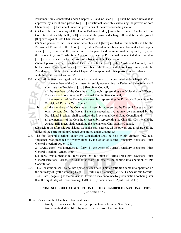Parliament duly constituted under Chapter VI; and no such […..] shall be made unless it is approved by a resolution passed by […..] Constituent Assembly exercising the powers of both Chambers […..] Parliament under the provisions of the next succeeding section.

231. (1) Until the first meeting of the Union Parliament [duly] constituted under Chapter VI, this Constituent Assembly shall [itself] exercise all the powers, discharge all the duties and enjoy all [the] privileges of both Chambers of Parliament.

(2) Such person as the Constituent Assembly shall [have] elected in this behalf shall be the Provisional President of the Union [……] until a President has been duly elect under the Chapter V and [……] exercise all the powers and discharge all the duties conferred or imposed […..] upon the President by this Constitution. A period of service as Provisional President shall not count as [.....] term of service for the purposes of sub-section (2) of section 48.

(3) Such persons as shall have been elected in this behalf […..] by the Constituent Assembly shall be the Prime Minister and other [……] member of the Provisional Union Government, until the President […..] duly elected under Chapter V has appointed other persons in accordance […..] with the provisions of section 56.

- 232. (1) Until the first meeting of the Union Parliament duly […..] constituted under Chapter VI:
	- all the members of the Constituent Assembly representing the Federated Shan States shall constitute the Provisional […..] Shan State Council;
	- all the members of the Constituent Assembly representing the Myitkyina and Bhamo Districts shall constitute the Provisional Kachin State Council;
	- iii. all the members of the Constituent Assembly representing the Karens shall constitute the Provisional Karen Affairs Council;
	- **Example 19 Second States Affairs Council;**<br>iv. all the members of the Constituent Assembly representing the Karenni States and such<br>other persons from the Kayah State not exceeding two as may be nominated by the other persons from the Kayah State not exceeding two as may be nominated by the Provisional President shall constitute the Provisional Kayah State Council; and
		- v. all the members of the Constituent Assembly representing the Chin Hills District and the Arakan Hill Tracts shall constitute the Provisional Chin Affairs Council.

(2) Each of the aforesaid Provisional Councils shall exercise all the powers and discharge all the duties of the corresponding Council constituted under Chapter IX.

233. The first general elections under this Constitution shall be held within eighteen [NOTE-1. "eighteen" was amended to "twenty eight" by the Union of Burma Transitory Provisions (First General Election) Order, 1949.

2. "twenty eight" was a mended to "forty" by the Union of Burma Transitory Provisions (First General Elections) Order, 1950.

(3) "forty" was a mended to "forty eight" by the Union of Burma Transitory Provisions (First General Elections) Order, 1951.] months from the date of the coming into operation of this Constitution.

234. This Constitution shall come into operation such date [This Constitution came into operation on the ninth day of Pyatho wanning 1309 B.E. (forth day of January, 1948 A.D.). See *Burma Gazette,*  1948, Part I, page 48.] as the Provisional President may announce by proclamation not being later than the eighth day of Kason waxing, 1310 B.E., (fifteenth day of April, 1948 A.D.).

# **SECOND SCHEDULE COMPOSITION OF THE CHAMBER OF NATIONALITIES**

(See Section 87.)

Of the 125 seats in the Chamber of Nationalities: -

- i. twenty five seats shall be filled by representatives from the Shan State;
- ii. twelve seats shall be filled by representatives from Kachin State;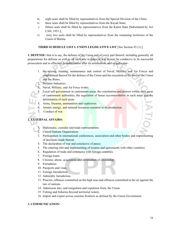- iii. eight seats shall be filled by representatives from the Special Division of the Chins;
- iv. three seats shall be filled by representatives from the Kayah State;
- v. fifteen seats shall be filled by representatives from the Karen State [Substituted by Act LXII, 1951.];
- vi. sixty two seats shall be filled by representatives from the remaining territories of the Union of Burma.

# **THIRD SCHEDULE LIST I. UNION LEGISLATIVE LIST** [See Section 92 (1).]

**1. DEFENSE:** that is to say, the defense of the Union and of every part thereof, including generally all preparations for defense as well as all such acts in times of war as may be conducive to its successful prosecution and to effective demobilization after its termination, and in particular-

- 1. the raising, training, maintenance and control of Naval, Military and Air Forces and employment thereof for the defense of the Union and the execution of the laws of the Union and the States.
- Defense Industries.
- 3. Naval, Military, and Air Force works.
- 4. Local self-government in cantonment areas, the constitution and powers within such areas of cantonment authorities, the regulation of house accommodation in such areas and the delimitation of such areas.
- 5. Arms, firearms, ammunition and explosives.
- 6. Atomic energy, and mineral resources essential to its production.
- 7. Conduct of war.

# **2. EXTERNAL AFFAIRS:**

- 1. Diplomatic, consular and trade representation.
- 2. United Nations Organization.
- 3. Participation in international conferences, association and other bodies and implementing of decisions made thereat.
- 4. The declaration of war and conclusive of peace.
- 5. The entering into and implementing of treaties and agreements with other countries.
- 6. Regulation of trade and commerce with foreign countries.
- 7. Foreign loans.
- 8. Citizens; aliens; acquisition and termination of citizenship.
- 9. Extradition
- 10. Passports and visas.
- 11. Foreign Jurisdiction.
- 12. Admiralty Jurisdiction.
- 13. Piracies, offences committed on the high seas and offences committed in the air against the law of nations.
- 14. Admission into, and emigration and expulsion from, the Union.
- 15. Fishing and fisheries beyond territorial waters.
- 16. Import and export across customs frontiers as defined by the Union Government.

# **3. COMMUNICATION:**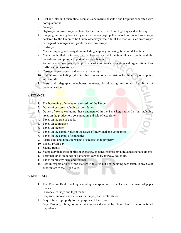- 1. Post and inter-unit quarantine; seaman's and marine hospitals and hospitals connected with port quarantine.
- 2. Airways.
- 3. Highways and waterways declared by the Union to be Union highways and waterway.
- 4. Shipping and navigation as regards mechanically-propelled vessels on inland waterways declared by the Union to be Union waterways; the rule of the road on such waterways; carriage of passengers and goods on such waterways.
- 5. Railways.
- 6. Marine shipping and navigation, including shipping and navigation on tidal waters.
- 7. Major ports, that is to say, the declaration and delimitation of such ports, and the constitution and powers of port authorities therein.
- 8. Aircraft and air navigation; the provision of aerodromes; regulation and organization of air traffic and of aerodromes.
- 9. Carriage of passengers and goods by sea or by air.
- 10. Lighthouses, including lightships, beacons and other provisions for the safety of shipping and aircraft.
- 11. Posts and telegraphs, telephones, wireless, broadcasting and other like forms of communication.

# **4. FINANCE:**

- The borrowing of money on the credit of the Union.
- 2. Duties of customs including export duties.
- 3. Duties of excise excluding those enumerated in the State Legislative List but including taxes on the production, consumption and sale of electricity.
- 4. Taxes on the sale of goods.
- 5. Taxes on companies.
- 6. Taxes on income.
- 7. Taxes on the capital value of the assets of individual and companies.
- 8. Taxes on the capital of companies.
- 9. Estate duty and duties in respect of succession to property.
- 10. Excess Profit Tax.
- 11. Saving Banks.
- 12. Stamp duty in respect of bills of exchange, cheques, promissory notes and other documents.
- 13. Terminal taxes on goods or passengers carried by railway, sea or air.
- 14. Taxes on railway fares and freights.
- 15. Fees in respect of any of the matters in this list but not including fees taken in any Court subordinate to the High Court.

# **5. GENERAL:**

- 1. The Reserve Bank; banking including incorporation of banks, and the issue of paper money.
- 2. Currency, coinage and legal tender.
- 3. Enquiries, surveys and statistics for the purposes of the Union.
- 4. Acquisition of property for the purposes of the Union.
- 5. Any Museum, library or other institutions declared by Union law to be of national importance.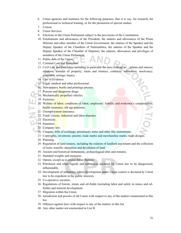- 6. Union agencies and institutes for the following purposes, that is to say, for research, for professional or technical training, or for the promotion of special studies.
- 7. Census.
- 8. Union Services.
- 9. Elections to the Union Parliament subject to the provisions of the Constitution.
- 10. Emoluments and allowances of the President, the salaries and allowances of the Prime Minister and other member of the Union Government; the salaries of the Speaker and the Deputy Speaker of the Chambers of Nationalities; the salaries of the Speaker and the Deputy Speaker of the Chamber of Deputies; the salaries, allowances and privileges of members of the Union Parliament.
- 11. Public debt of the Union.
- 12. Criminal Law and Procedure.
- 13. Civil Law and Procedure including in particular the laws relating to: infants and minors; adoption; transfer of property; trusts and trustees; contracts; arbitration; insolvency; actionable wrongs; lunacy.
- 14. Law of Evidence.
- 15. Legal, medical and other professional.
- 16. Newspapers, books and printings presses.
- 17. Poisons and dangerous drugs.
- 18. Mechanically propelled vehicles.
- 19. Factories.
- 20. Welfare of labor; conditions of labor; employers' liability and workmen's compensation; health insurance; old age pensions.
- 21. Unemployment insurance.
- 22. Trade Unions; industrial and labor disputes.
- 23. Electricity.
- 24. Insurance.
- 25. Company law.
- 26. Ceuques, bills of exchange, promissory notes and other like instruments.
- 27. Copyrights, inventions; parents; trade marks and merchandise marks; trade designs.
- 28. Planning.
- 29. Regulation of land tenures, including the relation of landlord and tenant and the collection of rents; transfer, alienation and devolution of land.
- 30. Ancient and historical monuments; archaeological sites and remains.
- 31. Standard weights and measures.
- 32. Opium, except as to excise duties thereon.
- 33. Petroleum and other liquids and substances declared by Union law to be dangerously inflammable.
- 34. Development of industries, where development under Union control is declared by Union law to be expedient in the public interests.
- 35. Co-operative societies.
- 36. Regulations of forests, mines and oil-fields (including labor and safety in mines and oilfields) and mineral development.
- 37. Migration within the Union.
- 38. Jurisdiction and powers of all Courts with respect to any of the matters enumerated in this list.
- 39. Offences against laws with respect to any of the matters in this list.
- 40. Any other matter not enumerated in List II.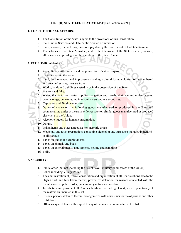### **LIST (II) STATE LEGISLATIVE LIST** [See Section 92 (2).]

### **1. CONSTITUTIONAL AFFAIRS:**

- 1. The Constitution of the State, subject to the provisions of this Constitution.
- 2. State Public Services and State Public Service Commission.
- 3. State pensions, that is to say, pensions payable by the State or out of the State Revenue.
- 4. The salaries of the State Ministers, and of the Chairman of the State Council; salaries, allowances and privileges of the members of the State Council.

# **2. ECONOMIC AFFAIRS:**

- 1. Agriculture; cattle pounds and the prevention of cattle trespass.
- 2. Fisheries within the State.
- 3. Land, land revenue; land improvement and agricultural loans; colonization; encumbered and attached estates; treasure trove.
- 4. Works; lands and buildings vested in or in the possession of the State.
- 5. Markets and fairs.
- 6. Water, that is to say, water supplies, irrigation and canals, drainage and embankments, water storage, but excluding inter-unit rivers and water-courses.
- 7. Capitation and *Thathameda* taxes.
- 8. Duties of excise on the following goods manufactured or produced in the State and countervailing duties at the same or lower rates on similar goods manufactured or produced elsewhere in the Union: -
- 9. Alcoholic liquors for human consumption.
- 10. Opium.
- 11. Indian hemp and other narcotics; non-narcotic drugs.
- 12. Medicinal and toilet preparations containing alcohol or any substance included in item (ii) or (iii) above.
- 13. Taxes on trades and employments.
- 14. Taxes on animals and boats.
- 15. Taxes on entertainments, amusements, betting and gambling.
- 16. Tolls.

#### **3. SECURITY:**

- 1. Public order (but not including the use of naval, military or air forces of the Union).
- 2. Police including Village Police.
- 3. The administration of justice; constitution and organization of all Courts subordinate to the High Court, and fees taken therein; preventive detention for reasons connected with the maintenance of public order; persons subject to such detention.
- 4. Jurisdiction and powers of all Courts subordinate to the High Court, with respect to any of the matters enumerated in this list.
- 5. Prisons; persons detained therein; arrangements with other units for use of prisons and other institutions.
- 6. Offences against laws with respect to any of the matters enumerated in this list.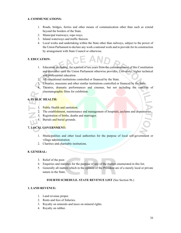# **4. COMMUNICATIONS:**

- 1. Roads, bridges, ferries and other means of communication other than such as extend beyond the borders of the State.
- 2. Municipal tramways; rope-ways.
- 3. Inland waterways and traffic thereon.
- 4. Local works and undertaking within the State other than railways, subject to the power of the Union Parliament to declare any work a national work and to provide for its construction by arrangement with State Council or otherwise.

# **5. EDUCATION:**

- 1. Education excluding, for a period of ten years from the commencement of this Constitution and thereafter until the Union Parliament otherwise provides, University, higher technical and professional education.
- 2. All educational institutions controlled or financed by the State.
- 3. Libraries, museums and other similar institutions controlled or financed by the State.
- 4. Theatres, dramatic performances and cinemas, but not including the sanction of cinematographic films for exhibition.

# **6. PUBLIC HEALTH:**

- 1. Public Health and sanitation.
	- 2. The establishment, maintenance and management of hospitals, asylums and dispensaries.
	- 3. Registration of births, deaths and marriages.
	- 4. Burials and burial grounds.

# **7. LOCAL GOVERNMENT:**

- 1. Municipalities and other local authorities for the purpose of local self-government or village administration.
- 2. Charities and charitable institutions.

# **8. GENERAL:**

- 3. Relief of the poor.
- 4. Enquiries and statistics for the purpose of any of the matters enumerated in this list.
- 5. Generally all matters which in the opinion of the President are of a merely local or private nature in the State.

# **FOURTH SCHEDULE. STATE REVENUE LIST** (See Section 96.)

# **1. LAND REVENUE:**

- 1. Land revenue proper.
- 2. Rents and fees of fisheries.
- 3. Royalty on minerals and taxes on mineral rights.
- 4. Royalty on rubber.